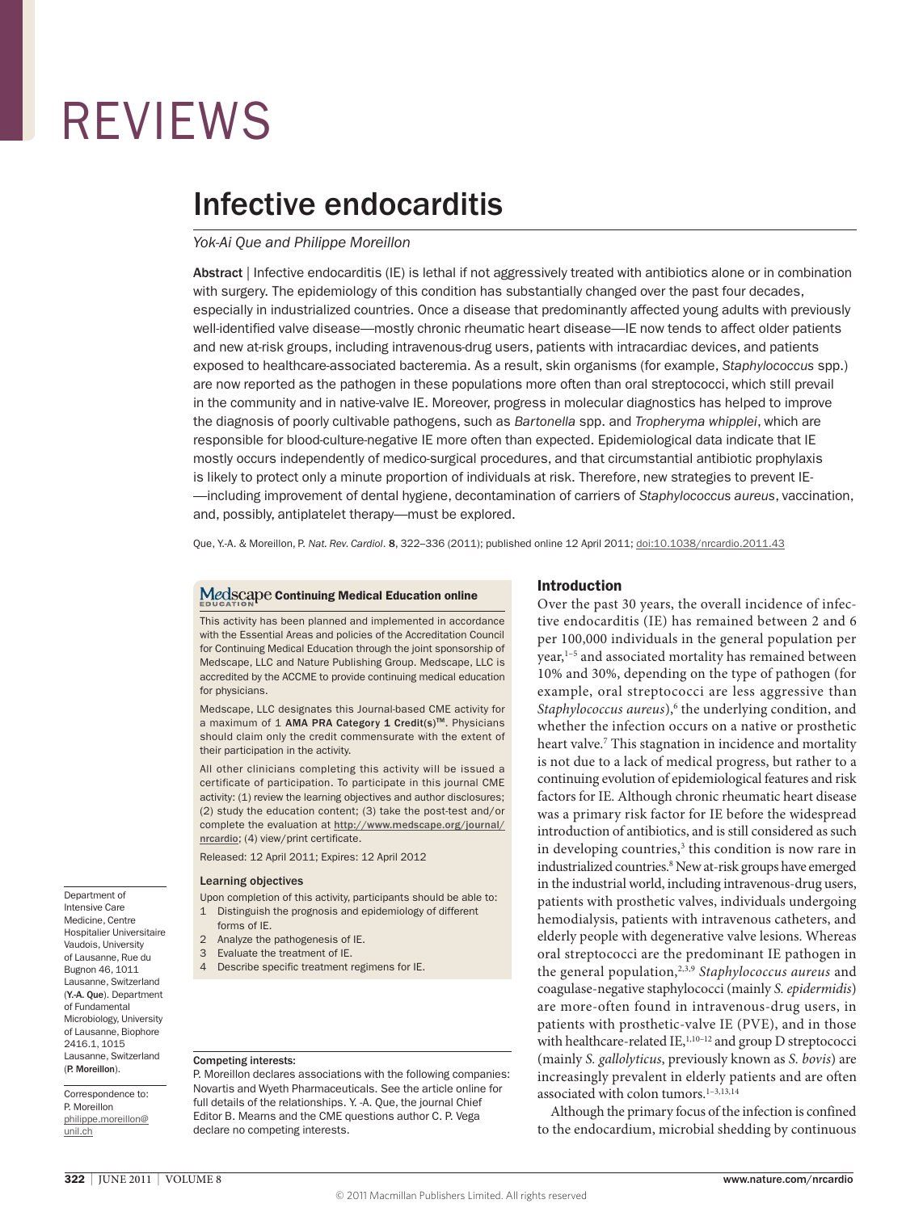# Infective endocarditis

# *Yok-Ai Que and Philippe Moreillon*

Abstract | Infective endocarditis (IE) is lethal if not aggressively treated with antibiotics alone or in combination with surgery. The epidemiology of this condition has substantially changed over the past four decades, especially in industrialized countries. Once a disease that predominantly affected young adults with previously well-identified valve disease—mostly chronic rheumatic heart disease—IE now tends to affect older patients and new at-risk groups, including intravenous-drug users, patients with intracardiac devices, and patients exposed to healthcare-associated bacteremia. As a result, skin organisms (for example, *Staphylococcus* spp.) are now reported as the pathogen in these populations more often than oral streptococci, which still prevail in the community and in native-valve IE. Moreover, progress in molecular diagnostics has helped to improve the diagnosis of poorly cultivable pathogens, such as *Bartonella* spp. and *Tropheryma whipplei*, which are responsible for blood-culture-negative IE more often than expected. Epidemiological data indicate that IE mostly occurs independently of medico-surgical procedures, and that circumstantial antibiotic prophylaxis is likely to protect only a minute proportion of individuals at risk. Therefore, new strategies to prevent IE- —including improvement of dental hygiene, decontamination of carriers of *Staphylococcus aureus*, vaccination, and, possibly, antiplatelet therapy—must be explored.

Que, Y.-A. & Moreillon, P. *Nat. Rev. Cardiol*. 8, 322–336 (2011); published online 12 April 2011; [doi:10.1038/nrcardio.2011.43](www.nature.com/doifinder/10.1038/nrcardio.2011.43)

# Medscape Continuing Medical Education online

This activity has been planned and implemented in accordance with the Essential Areas and policies of the Accreditation Council for Continuing Medical Education through the joint sponsorship of Medscape, LLC and Nature Publishing Group. Medscape, LLC is accredited by the ACCME to provide continuing medical education for physicians.

Medscape, LLC designates this Journal-based CME activity for a maximum of 1 AMA PRA Category 1 Credit(s)™. Physicians should claim only the credit commensurate with the extent of their participation in the activity.

All other clinicians completing this activity will be issued a certificate of participation. To participate in this journal CME activity: (1) review the learning objectives and author disclosures; (2) study the education content; (3) take the post-test and/or complete the evaluation at [http://www.medscape.org/journal/](http://www.medscape.org/journal/nrcardio) [nrcardio](http://www.medscape.org/journal/nrcardio); (4) view/print certificate.

Released: 12 April 2011; Expires: 12 April 2012

#### Learning objectives

- Upon completion of this activity, participants should be able to: 1 Distinguish the prognosis and epidemiology of different forms of IE.
- 2 Analyze the pathogenesis of IE.
- 3 Evaluate the treatment of IE.
- 4 Describe specific treatment regimens for IE.

#### Competing interests:

P. Moreillon declares associations with the following companies: Novartis and Wyeth Pharmaceuticals. See the article online for full details of the relationships. Y. -A. Que, the journal Chief Editor B. Mearns and the CME questions author C. P. Vega declare no competing interests.

#### Introduction

Over the past 30 years, the overall incidence of infective endocarditis (IE) has remained between 2 and 6 per 100,000 individuals in the general population per year,<sup>1-5</sup> and associated mortality has remained between 10% and 30%, depending on the type of pathogen (for example, oral streptococci are less aggressive than Staphylococcus aureus),<sup>6</sup> the underlying condition, and whether the infection occurs on a native or prosthetic heart valve.7 This stagnation in incidence and mortality is not due to a lack of medical progress, but rather to a continuing evolution of epidemiological features and risk factors for IE. Although chronic rheumatic heart disease was a primary risk factor for IE before the widespread introduction of antibiotics, and is still considered as such in developing countries,<sup>3</sup> this condition is now rare in industrialized countries.<sup>8</sup> New at-risk groups have emerged in the industrial world, including intravenous-drug users, patients with prosthetic valves, individuals undergoing hemodialysis, patients with intravenous catheters, and elderly people with degenerative valve lesions. Whereas oral streptococci are the predominant IE pathogen in the general population,2,3,9 *Staphylococcus aureus* and coagulase-negative staphylococci (mainly *S. epidermidis*) are more-often found in intravenous-drug users, in patients with prosthetic-valve IE (PVE), and in those with healthcare-related IE, $^{1,10-12}$  and group D streptococci (mainly *S. gallolyticus*, previously known as *S. bovis*) are increasingly prevalent in elderly patients and are often associated with colon tumors.<sup>1-3,13,14</sup>

Although the primary focus of the infection is confined to the endocardium, microbial shedding by continuous

Department of Intensive Care Medicine, Centre Hospitalier Universitaire Vaudois, University of Lausanne, Rue du Bugnon 46, 1011 Lausanne, Switzerland (Y.-A. Que). Department of Fundamental Microbiology, University of Lausanne, Biophore 2416.1, 1015 Lausanne, Switzerland (P. Moreillon).

Correspondence to: P. Moreillon [philippe.moreillon@](mailto:philippe.moreillon@unil.ch) [unil.ch](mailto:philippe.moreillon@unil.ch)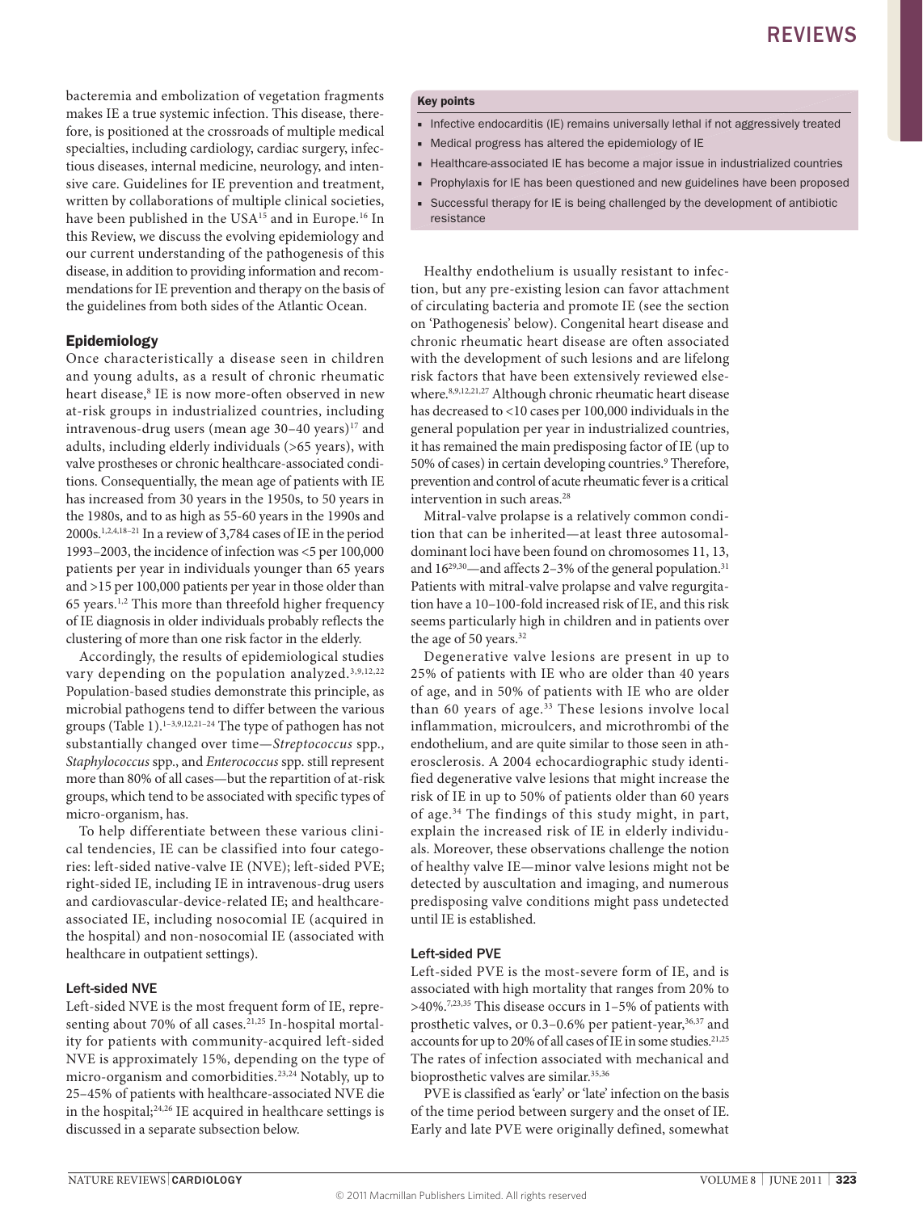bacteremia and embolization of vegetation fragments makes IE a true systemic infection. This disease, therefore, is positioned at the crossroads of multiple medical specialties, including cardiology, cardiac surgery, infectious diseases, internal medicine, neurology, and intensive care. Guidelines for IE prevention and treatment, written by collaborations of multiple clinical societies, have been published in the USA<sup>15</sup> and in Europe.<sup>16</sup> In this Review, we discuss the evolving epidemiology and our current understanding of the pathogenesis of this disease, in addition to providing information and recommendations for IE prevention and therapy on the basis of the guidelines from both sides of the Atlantic Ocean.

# Epidemiology

Once characteristically a disease seen in children and young adults, as a result of chronic rheumatic heart disease,8 IE is now more-often observed in new at-risk groups in industrialized countries, including intravenous-drug users (mean age  $30-40$  years)<sup>17</sup> and adults, including elderly individuals (>65 years), with valve prostheses or chronic healthcare-associated conditions. Consequentially, the mean age of patients with IE has increased from 30 years in the 1950s, to 50 years in the 1980s, and to as high as 55-60 years in the 1990s and 2000s.1,2,4,18–21 In a review of 3,784 cases of IE in the period 1993–2003, the incidence of infection was <5 per 100,000 patients per year in individuals younger than 65 years and >15 per 100,000 patients per year in those older than 65 years.1,2 This more than threefold higher frequency of IE diagnosis in older individuals probably reflects the clustering of more than one risk factor in the elderly.

Accordingly, the results of epidemiological studies vary depending on the population analyzed.3,9,12,22 Population-based studies demonstrate this principle, as microbial pathogens tend to differ between the various groups (Table 1).1–3,9,12,21–24 The type of pathogen has not substantially changed over time—*Streptococcus* spp., *Staphylococcus* spp., and *Enterococcus* spp. still represent more than 80% of all cases—but the repartition of at-risk groups, which tend to be associated with specific types of micro-organism, has.

To help differentiate between these various clinical tendencies, IE can be classified into four categories: left-sided native-valve IE (NVE); left-sided PVE; right-sided IE, including IE in intravenous-drug users and cardiovascular-device-related IE; and healthcareassociated IE, including nosocomial IE (acquired in the hospital) and non-nosocomial IE (associated with healthcare in outpatient settings).

# Left-sided NVE

Left-sided NVE is the most frequent form of IE, representing about 70% of all cases.<sup>21,25</sup> In-hospital mortality for patients with community-acquired left-sided NVE is approximately 15%, depending on the type of micro-organism and comorbidities.23,24 Notably, up to 25–45% of patients with healthcare-associated NVE die in the hospital;<sup>24,26</sup> IE acquired in healthcare settings is discussed in a separate subsection below.

#### Key points

- Infective endocarditis (IE) remains universally lethal if not aggressively treated
- Medical progress has altered the epidemiology of IE
- Healthcare-associated IE has become a major issue in industrialized countries
- Prophylaxis for IE has been questioned and new guidelines have been proposed
- Successful therapy for IE is being challenged by the development of antibiotic resistance

Healthy endothelium is usually resistant to infection, but any pre-existing lesion can favor attachment of circulating bacteria and promote IE (see the section on 'Pathogenesis' below). Congenital heart disease and chronic rheumatic heart disease are often associated with the development of such lesions and are lifelong risk factors that have been extensively reviewed elsewhere.8,9,12,21,27 Although chronic rheumatic heart disease has decreased to <10 cases per 100,000 individuals in the general population per year in industrialized countries, it has remained the main predisposing factor of IE (up to 50% of cases) in certain developing countries.<sup>9</sup> Therefore, prevention and control of acute rheumatic fever is a critical intervention in such areas.<sup>28</sup>

Mitral-valve prolapse is a relatively common condition that can be inherited—at least three autosomaldominant loci have been found on chromosomes 11, 13, and  $16^{29,30}$ —and affects 2–3% of the general population.<sup>31</sup> Patients with mitral-valve prolapse and valve regurgitation have a 10–100-fold increased risk of IE, and this risk seems particularly high in children and in patients over the age of 50 years.<sup>32</sup>

Degenerative valve lesions are present in up to 25% of patients with IE who are older than 40 years of age, and in 50% of patients with IE who are older than 60 years of age.33 These lesions involve local inflammation, microulcers, and microthrombi of the endothelium, and are quite similar to those seen in atherosclerosis. A 2004 echocardiographic study identified degenerative valve lesions that might increase the risk of IE in up to 50% of patients older than 60 years of age.34 The findings of this study might, in part, explain the increased risk of IE in elderly individuals. Moreover, these observations challenge the notion of healthy valve IE—minor valve lesions might not be detected by auscultation and imaging, and numerous predisposing valve conditions might pass undetected until IE is established.

# Left-sided PVE

Left-sided PVE is the most-severe form of IE, and is associated with high mortality that ranges from 20% to >40%.7,23,35 This disease occurs in 1–5% of patients with prosthetic valves, or 0.3–0.6% per patient-year,<sup>36,37</sup> and accounts for up to 20% of all cases of IE in some studies.<sup>21,25</sup> The rates of infection associated with mechanical and bioprosthetic valves are similar.<sup>35,36</sup>

PVE is classified as 'early' or 'late' infection on the basis of the time period between surgery and the onset of IE. Early and late PVE were originally defined, somewhat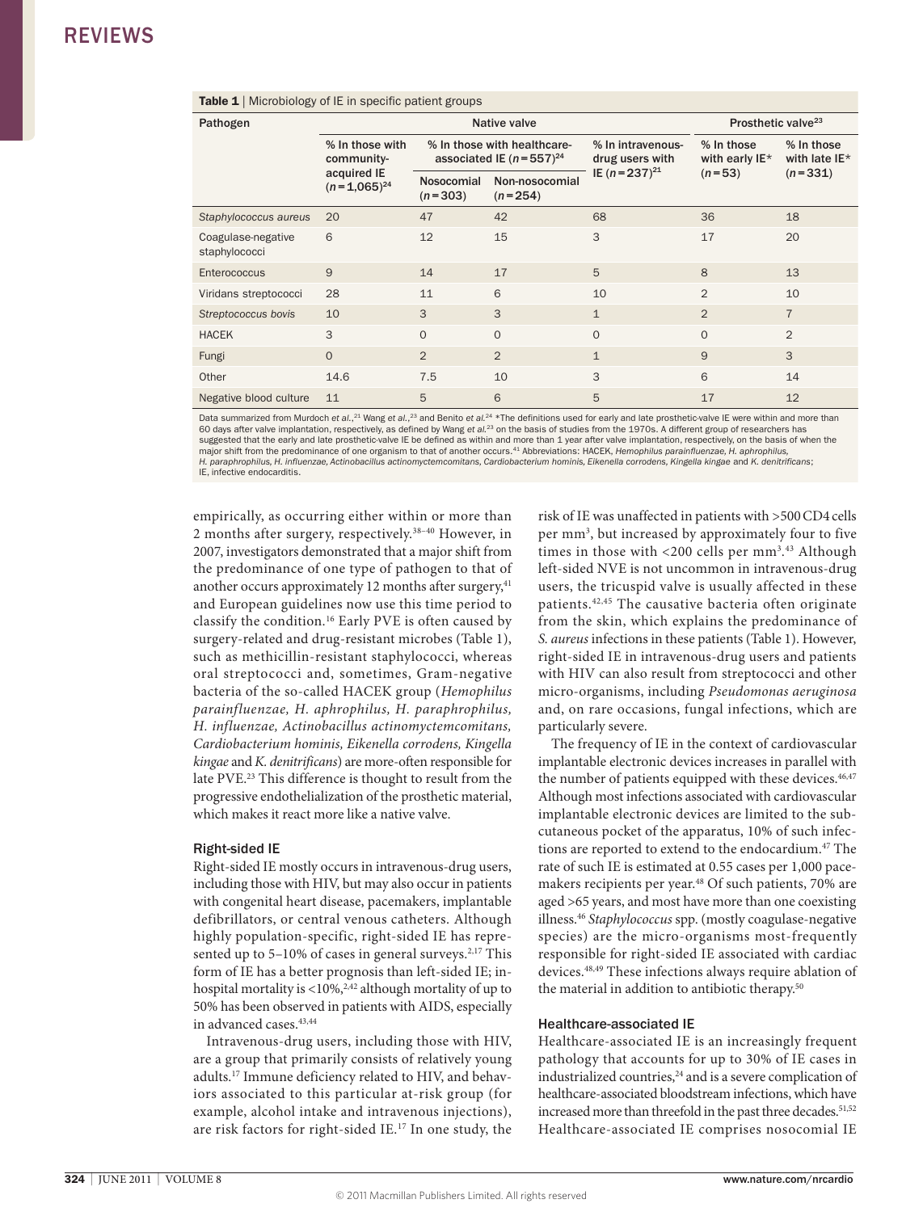#### Table 1 | Microbiology of IE in specific patient groups

| $\frac{1}{2}$ and $\frac{1}{2}$ and $\frac{1}{2}$ and $\frac{1}{2}$ are $\frac{1}{2}$ and $\frac{1}{2}$ and $\frac{1}{2}$ and $\frac{1}{2}$ and $\frac{1}{2}$ and $\frac{1}{2}$ |                                 |                                                             |                                |                                      |                                 |                                |
|---------------------------------------------------------------------------------------------------------------------------------------------------------------------------------|---------------------------------|-------------------------------------------------------------|--------------------------------|--------------------------------------|---------------------------------|--------------------------------|
| Pathogen                                                                                                                                                                        |                                 | Native valve                                                | Prosthetic valve <sup>23</sup> |                                      |                                 |                                |
|                                                                                                                                                                                 | % In those with<br>community-   | % In those with healthcare-<br>associated IE $(n=557)^{24}$ |                                | % In intravenous-<br>drug users with | % In those<br>with early $IE^*$ | % In those<br>with late $IE^*$ |
|                                                                                                                                                                                 | acquired IE<br>$(n=1,065)^{24}$ | Nosocomial<br>$(n=303)$                                     | Non-nosocomial<br>$(n=254)$    | IE $(n=237)^{21}$                    | $(n=53)$                        | $(n=331)$                      |
| Staphylococcus aureus                                                                                                                                                           | 20                              | 47                                                          | 42                             | 68                                   | 36                              | 18                             |
| Coagulase-negative<br>staphylococci                                                                                                                                             | 6                               | 12                                                          | 15                             | 3                                    | 17                              | 20                             |
| Enterococcus                                                                                                                                                                    | 9                               | 14                                                          | 17                             | 5                                    | 8                               | 13                             |
| Viridans streptococci                                                                                                                                                           | 28                              | 11                                                          | 6                              | 10                                   | 2                               | 10                             |
| Streptococcus bovis                                                                                                                                                             | 10                              | 3                                                           | 3                              | $\mathbf{1}$                         | 2                               | $\overline{7}$                 |
| <b>HACEK</b>                                                                                                                                                                    | 3                               | $\Omega$                                                    | $\Omega$                       | $\Omega$                             | $\Omega$                        | $\overline{2}$                 |
| Fungi                                                                                                                                                                           | $\mathbf{O}$                    | $\overline{2}$                                              | $\overline{2}$                 | $\mathbf{1}$                         | 9                               | 3                              |
| Other                                                                                                                                                                           | 14.6                            | 7.5                                                         | 10                             | 3                                    | 6                               | 14                             |
| Negative blood culture                                                                                                                                                          | 11                              | 5                                                           | 6                              | 5                                    | 17                              | 12                             |

Data summarized from Murdoch et al.,<sup>21</sup> Wang et al.,<sup>23</sup> and Benito et al.<sup>24</sup> \*The definitions used for early and late prosthetic-valve IE were within and more than 60 days after valve implantation, respectively, as defined by Wang *et al.*23 on the basis of studies from the 1970s. A different group of researchers has suggested that the early and late prosthetic-valve IE be defined as within and more than 1 year after valve implantation, respectively, on the basis of when the major shift from the predominance of one organism to that of another occurs.41 Abbreviations: HACEK, *Hemophilus parainfluenzae, H. aphrophilus, H. paraphrophilus, H. influenzae, Actinobacillus actinomyctemcomitans, Cardiobacterium hominis, Eikenella corrodens, Kingella kingae* and *K. denitrificans*;

IE, infective endocarditis.

empirically, as occurring either within or more than 2 months after surgery, respectively.38–40 However, in 2007, investigators demonstrated that a major shift from the predominance of one type of pathogen to that of another occurs approximately 12 months after surgery,<sup>41</sup> and European guidelines now use this time period to classify the condition.16 Early PVE is often caused by surgery-related and drug-resistant microbes (Table 1), such as methicillin-resistant staphylococci, whereas oral streptococci and, sometimes, Gram-negative bacteria of the so-called HACEK group (*Hemophilus parainfluenzae, H. aphrophilus, H. paraphrophilus, H. influenzae, Actinobacillus actinomyctemcomitans, Cardiobacterium hominis, Eikenella corrodens, Kingella kingae* and *K. denitrificans*) are more-often responsible for late PVE.<sup>23</sup> This difference is thought to result from the progressive endothelialization of the prosthetic material, which makes it react more like a native valve.

## Right-sided IE

Right-sided IE mostly occurs in intravenous-drug users, including those with HIV, but may also occur in patients with congenital heart disease, pacemakers, implantable defibrillators, or central venous catheters. Although highly population-specific, right-sided IE has represented up to  $5-10\%$  of cases in general surveys.<sup>2,17</sup> This form of IE has a better prognosis than left-sided IE; inhospital mortality is  $< 10\%$ ,<sup>2,42</sup> although mortality of up to 50% has been observed in patients with AIDS, especially in advanced cases.  $43,44$ 

Intravenous-drug users, including those with HIV, are a group that primarily consists of relatively young adults.17 Immune deficiency related to HIV, and behaviors associated to this particular at-risk group (for example, alcohol intake and intravenous injections), are risk factors for right-sided IE.17 In one study, the risk of IE was unaffected in patients with >500CD4 cells per mm3 , but increased by approximately four to five times in those with <200 cells per  $mm<sup>3,43</sup>$  Although left-sided NVE is not uncommon in intravenous-drug users, the tricuspid valve is usually affected in these patients.42,45 The causative bacteria often originate from the skin, which explains the predominance of *S. aureus* infections in these patients (Table 1). However, right-sided IE in intravenous-drug users and patients with HIV can also result from streptococci and other micro-organisms, including *Pseudomonas aeruginosa* and, on rare occasions, fungal infections, which are particularly severe.

The frequency of IE in the context of cardiovascular implantable electronic devices increases in parallel with the number of patients equipped with these devices. $46,47$ Although most infections associated with cardiovascular implantable electronic devices are limited to the subcutaneous pocket of the apparatus, 10% of such infections are reported to extend to the endocardium.47 The rate of such IE is estimated at 0.55 cases per 1,000 pacemakers recipients per year.48 Of such patients, 70% are aged >65 years, and most have more than one coexisting illness.46 *Staphylococcus* spp. (mostly coagulase-negative species) are the micro-organisms most-frequently responsible for right-sided IE associated with cardiac devices.48,49 These infections always require ablation of the material in addition to antibiotic therapy.<sup>50</sup>

## Healthcare-associated IE

Healthcare-associated IE is an increasingly frequent pathology that accounts for up to 30% of IE cases in industrialized countries,<sup>24</sup> and is a severe complication of healthcare-associated bloodstream infections, which have increased more than threefold in the past three decades.<sup>51,52</sup> Healthcare-associated IE comprises nosocomial IE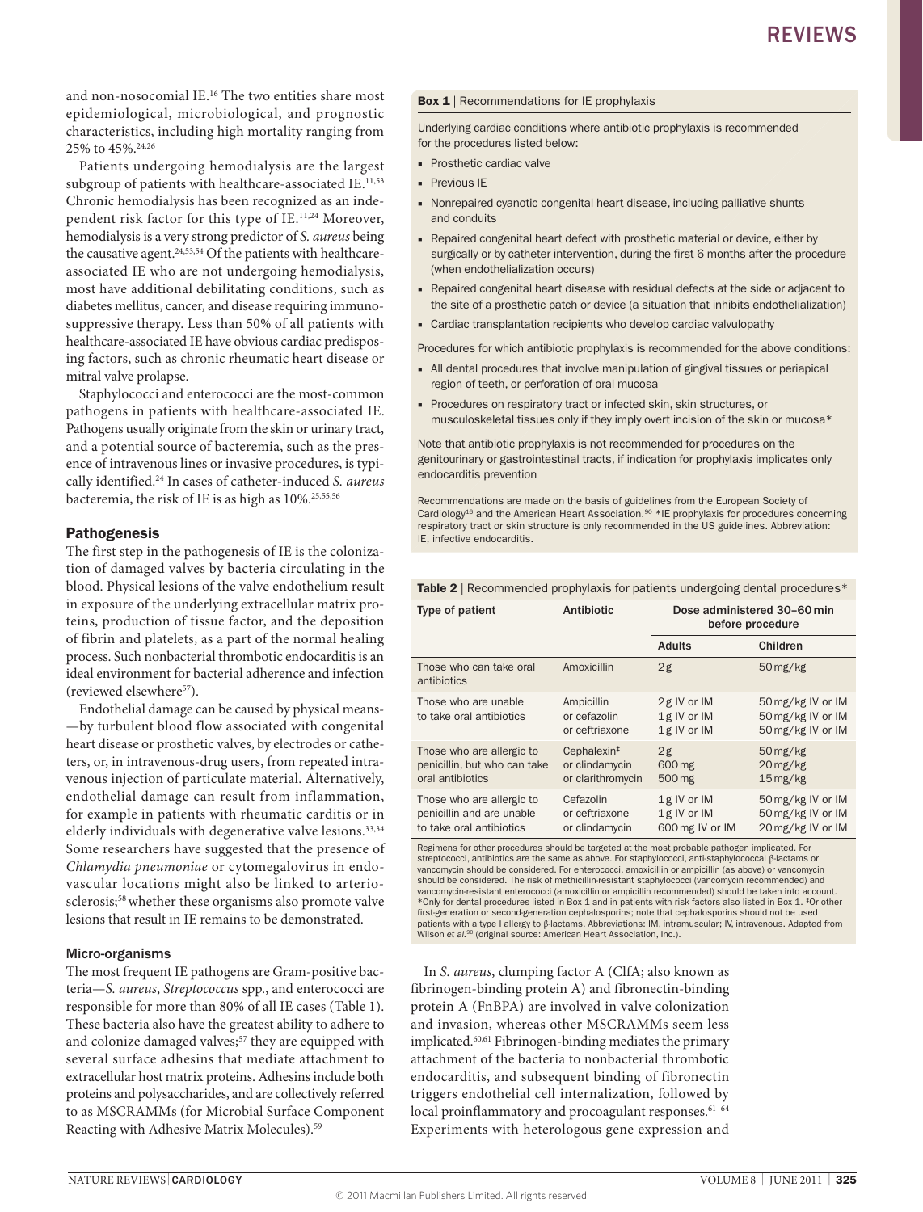and non-nosocomial IE.16 The two entities share most epidemiological, microbiological, and prognostic characteristics, including high mortality ranging from 25% to 45%.24,26

Patients undergoing hemodialysis are the largest subgroup of patients with healthcare-associated IE.<sup>11,53</sup> Chronic hemodialysis has been recognized as an independent risk factor for this type of IE.11,24 Moreover, hemodialysis is a very strong predictor of *S. aureus* being the causative agent.<sup>24,53,54</sup> Of the patients with healthcareassociated IE who are not undergoing hemodialysis, most have additional debilitating conditions, such as diabetes mellitus, cancer, and disease requiring immunosuppressive therapy. Less than 50% of all patients with healthcare-associated IE have obvious cardiac predisposing factors, such as chronic rheumatic heart disease or mitral valve prolapse.

Staphylococci and enterococci are the most-common pathogens in patients with healthcare-associated IE. Pathogens usually originate from the skin or urinary tract, and a potential source of bacteremia, such as the presence of intravenous lines or invasive procedures, is typically identified.24 In cases of catheter-induced *S. aureus* bacteremia, the risk of IE is as high as 10%.25,55,56

# Pathogenesis

The first step in the pathogenesis of IE is the colonization of damaged valves by bacteria circulating in the blood. Physical lesions of the valve endothelium result in exposure of the underlying extracellular matrix proteins, production of tissue factor, and the deposition of fibrin and platelets, as a part of the normal healing process. Such nonbacterial thrombotic endocarditis is an ideal environment for bacterial adherence and infection (reviewed elsewhere<sup>57</sup>).

Endothelial damage can be caused by physical means- —by turbulent blood flow associated with congenital heart disease or prosthetic valves, by electrodes or catheters, or, in intravenous-drug users, from repeated intravenous injection of particulate material. Alternatively, endothelial damage can result from inflammation, for example in patients with rheumatic carditis or in elderly individuals with degenerative valve lesions.<sup>33,34</sup> Some researchers have suggested that the presence of *Chlamydia pneumoniae* or cytomegalovirus in endovascular locations might also be linked to arteriosclerosis;<sup>58</sup> whether these organisms also promote valve lesions that result in IE remains to be demonstrated.

# Micro-organisms

The most frequent IE pathogens are Gram-positive bacteria—*S. aureus*, *Streptococcus* spp., and enterococci are responsible for more than 80% of all IE cases (Table 1). These bacteria also have the greatest ability to adhere to and colonize damaged valves;<sup>57</sup> they are equipped with several surface adhesins that mediate attachment to extracellular host matrix proteins. Adhesins include both proteins and polysaccharides, and are collectively referred to as MSCRAMMs (for Microbial Surface Component Reacting with Adhesive Matrix Molecules).59

#### **Box 1** | Recommendations for IE prophylaxis

Underlying cardiac conditions where antibiotic prophylaxis is recommended for the procedures listed below:

- Prosthetic cardiac valve
- Previous IE
- Nonrepaired cyanotic congenital heart disease, including palliative shunts and conduits
- Repaired congenital heart defect with prosthetic material or device, either by surgically or by catheter intervention, during the first 6 months after the procedure (when endothelialization occurs)
- Repaired congenital heart disease with residual defects at the side or adjacent to the site of a prosthetic patch or device (a situation that inhibits endothelialization)
- Cardiac transplantation recipients who develop cardiac valvulopathy
- Procedures for which antibiotic prophylaxis is recommended for the above conditions:
- All dental procedures that involve manipulation of gingival tissues or periapical region of teeth, or perforation of oral mucosa
- Procedures on respiratory tract or infected skin, skin structures, or musculoskeletal tissues only if they imply overt incision of the skin or mucosa\*

Note that antibiotic prophylaxis is not recommended for procedures on the genitourinary or gastrointestinal tracts, if indication for prophylaxis implicates only endocarditis prevention

Recommendations are made on the basis of guidelines from the European Society of Cardiology<sup>16</sup> and the American Heart Association.<sup>90</sup> \*IE prophylaxis for procedures concerning respiratory tract or skin structure is only recommended in the US guidelines. Abbreviation: IF infective endocarditis.

|  | <b>Table 2</b> Recommended prophylaxis for patients undergoing dental procedures* |  |  |  |  |  |
|--|-----------------------------------------------------------------------------------|--|--|--|--|--|
|--|-----------------------------------------------------------------------------------|--|--|--|--|--|

| Type of patient                                                                    | Antibiotic                                                     | Dose administered 30-60 min<br>before procedure |                                                             |
|------------------------------------------------------------------------------------|----------------------------------------------------------------|-------------------------------------------------|-------------------------------------------------------------|
|                                                                                    |                                                                | <b>Adults</b>                                   | Children                                                    |
| Those who can take oral<br>antibiotics                                             | Amoxicillin                                                    | 2g                                              | 50 mg/kg                                                    |
| Those who are unable<br>to take oral antibiotics                                   | Ampicillin<br>or cefazolin<br>or ceftriaxone                   | 2g IV or IM<br>1g IV or IM<br>1g IV or IM       | 50 mg/kg IV or IM<br>50 mg/kg IV or IM<br>50 mg/kg IV or IM |
| Those who are allergic to<br>penicillin, but who can take<br>oral antibiotics      | Cephalexin <sup>#</sup><br>or clindamycin<br>or clarithromycin | 2g<br>600 <sub>mg</sub><br>500 mg               | 50 mg/kg<br>$20$ mg/kg<br>15 mg/kg                          |
| Those who are allergic to<br>penicillin and are unable<br>to take oral antibiotics | Cefazolin<br>or ceftriaxone<br>or clindamycin                  | 1g IV or IM<br>1g IV or IM<br>600 mg IV or IM   | 50 mg/kg IV or IM<br>50 mg/kg IV or IM<br>20 mg/kg IV or IM |

Regimens for other procedures should be targeted at the most probable pathogen implicated. For streptococci, antibiotics are the same as above. For staphylococci, anti-staphylococcal β-lactams or vancomycin should be considered. For enterococci, amoxicillin or ampicillin (as above) or vancomycin should be considered. The risk of methicillin-resistant staphylococci (vancomycin recommended) and vancomycin-resistant enterococci (amoxicillin or ampicillin recommended) should be taken into account. \*Only for dental procedures listed in Box 1 and in patients with risk factors also listed in Box 1. ‡Or other first-generation or second-generation cephalosporins; note that cephalosporins should not be used patients with a type I allergy to β-lactams. Abbreviations: IM, intramuscular; IV, intravenous. Adapted from Wilson *et al.<sup>90</sup>* (original source: American Heart Association, Inc.).

In *S. aureus*, clumping factor A (ClfA; also known as fibrinogen-binding protein A) and fibronectin-binding protein A (FnBPA) are involved in valve colonization and invasion, whereas other MSCRAMMs seem less implicated.60,61 Fibrinogen-binding mediates the primary attachment of the bacteria to nonbacterial thrombotic endocarditis, and subsequent binding of fibronectin triggers endothelial cell internalization, followed by local proinflammatory and procoagulant responses.<sup>61-64</sup> Experiments with heterologous gene expression and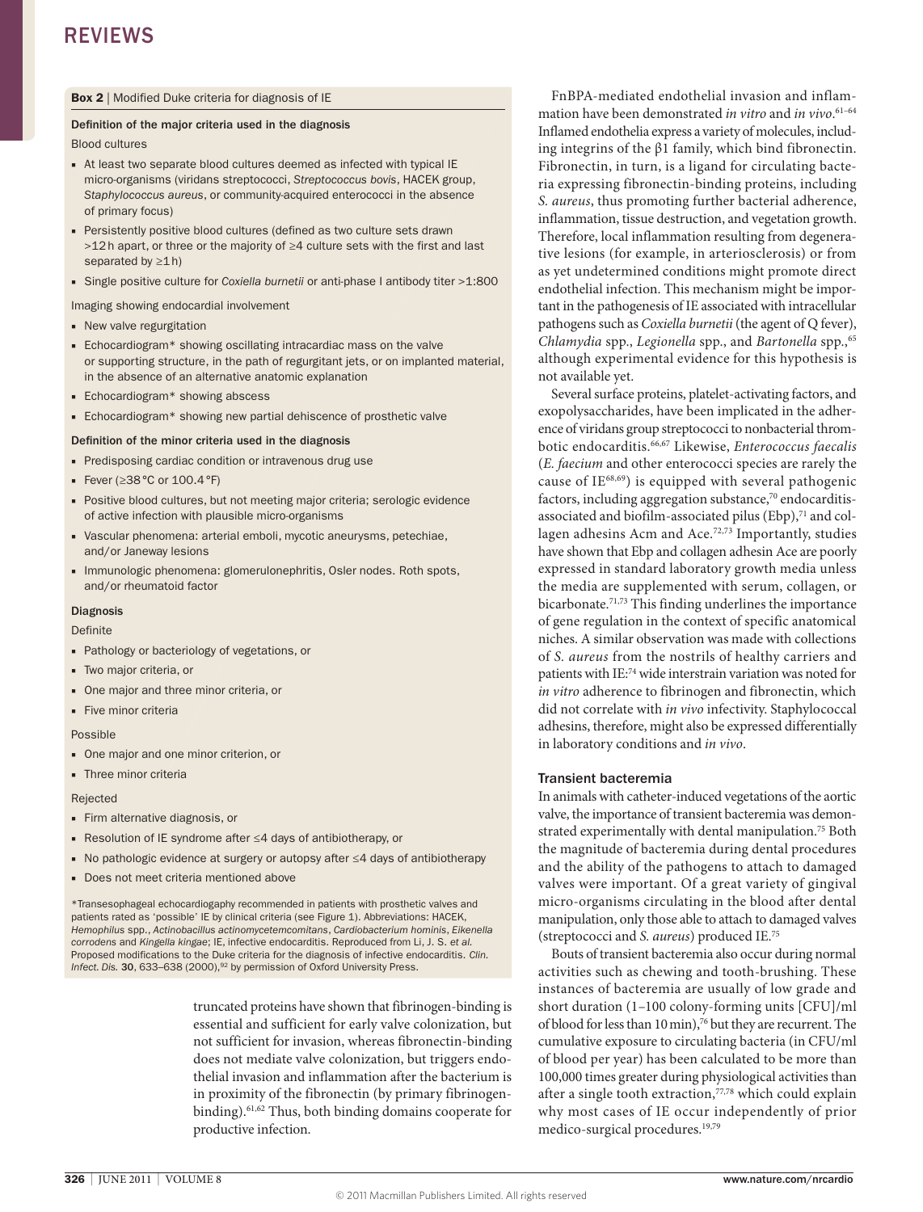#### **Box 2** | Modified Duke criteria for diagnosis of IE

## Definition of the major criteria used in the diagnosis

Blood cultures

- At least two separate blood cultures deemed as infected with typical IE micro-organisms (viridans streptococci, *Streptococcus bovis*, HACEK group, *Staphylococcus aureus*, or community-acquired enterococci in the absence of primary focus)
- Persistently positive blood cultures (defined as two culture sets drawn >12h apart, or three or the majority of ≥4 culture sets with the first and last separated by ≥1h)
- Single positive culture for *Coxiella burnetii* or anti-phase I antibody titer >1:800

Imaging showing endocardial involvement

- New valve regurgitation
- Echocardiogram\* showing oscillating intracardiac mass on the valve or supporting structure, in the path of regurgitant jets, or on implanted material, in the absence of an alternative anatomic explanation
- Echocardiogram<sup>\*</sup> showing abscess
- Echocardiogram<sup>\*</sup> showing new partial dehiscence of prosthetic valve

#### Definition of the minor criteria used in the diagnosis

- Predisposing cardiac condition or intravenous drug use
- Fever (≥38 °C or 100.4 °F)
- Positive blood cultures, but not meeting major criteria; serologic evidence of active infection with plausible micro-organisms
- Vascular phenomena: arterial emboli, mycotic aneurysms, petechiae, and/or Janeway lesions
- Immunologic phenomena: glomerulonephritis, Osler nodes. Roth spots, and/or rheumatoid factor

#### Diagnosis

Definite

- Pathology or bacteriology of vegetations, or
- Two major criteria, or
- One major and three minor criteria, or
- Five minor criteria

#### Possible

- One major and one minor criterion, or
- Three minor criteria

#### Rejected

- Firm alternative diagnosis, or
- Resolution of IE syndrome after ≤4 days of antibiotherapy, or
- No pathologic evidence at surgery or autopsy after ≤4 days of antibiotherapy
- Does not meet criteria mentioned above

\*Transesophageal echocardiogaphy recommended in patients with prosthetic valves and patients rated as 'possible' IE by clinical criteria (see Figure 1). Abbreviations: HACEK, *Hemophilus* spp., *Actinobacillus actinomycetemcomitans*, *Cardiobacterium hominis*, *Eikenella corrodens* and *Kingella kingae*; IE, infective endocarditis. Reproduced from Li, J. S. *et al.* Proposed modifications to the Duke criteria for the diagnosis of infective endocarditis. *Clin.*  Infect. Dis. 30, 633-638 (2000),<sup>92</sup> by permission of Oxford University Press.

> truncated proteins have shown that fibrinogen-binding is essential and sufficient for early valve colonization, but not sufficient for invasion, whereas fibronectin-binding does not mediate valve colonization, but triggers endothelial invasion and inflammation after the bacterium is in proximity of the fibronectin (by primary fibrinogenbinding).<sup>61,62</sup> Thus, both binding domains cooperate for productive infection.

FnBPA-mediated endothelial invasion and inflammation have been demonstrated *in vitro* and *in vivo*. 61–64 Inflamed endothelia express a variety of molecules, including integrins of the β1 family, which bind fibronectin. Fibronectin, in turn, is a ligand for circulating bacteria expressing fibronectin-binding proteins, including *S. aureus*, thus promoting further bacterial adherence, inflammation, tissue destruction, and vegetation growth. Therefore, local inflammation resulting from degenerative lesions (for example, in arteriosclerosis) or from as yet undetermined conditions might promote direct endothelial infection. This mechanism might be important in the pathogenesis of IE associated with intracellular pathogens such as *Coxiella burnetii* (the agent of Q fever), *Chlamydia* spp., *Legionella* spp., and *Bartonella* spp.,65 although experimental evidence for this hypothesis is not available yet.

Several surface proteins, platelet-activating factors, and exopolysaccharides, have been implicated in the adherence of viridans group streptococci to nonbacterial thrombotic endocarditis.66,67 Likewise, *Enterococcus faecalis* (*E. faecium* and other enterococci species are rarely the cause of IE68,69) is equipped with several pathogenic factors, including aggregation substance,<sup>70</sup> endocarditisassociated and biofilm-associated pilus (Ebp),<sup>71</sup> and collagen adhesins Acm and Ace.<sup>72,73</sup> Importantly, studies have shown that Ebp and collagen adhesin Ace are poorly expressed in standard laboratory growth media unless the media are supplemented with serum, collagen, or bicarbonate.71,73 This finding underlines the importance of gene regulation in the context of specific anatomical niches. A similar observation was made with collections of *S. aureus* from the nostrils of healthy carriers and patients with IE:74 wide interstrain variation was noted for *in vitro* adherence to fibrinogen and fibronectin, which did not correlate with *in vivo* infectivity. Staphylococcal adhesins, therefore, might also be expressed differentially in laboratory conditions and *in vivo*.

## Transient bacteremia

In animals with catheter-induced vegetations of the aortic valve, the importance of transient bacteremia was demonstrated experimentally with dental manipulation.<sup>75</sup> Both the magnitude of bacteremia during dental procedures and the ability of the pathogens to attach to damaged valves were important. Of a great variety of gingival micro-organisms circulating in the blood after dental manipulation, only those able to attach to damaged valves (streptococci and *S. aureus*) produced IE.75

Bouts of transient bacteremia also occur during normal activities such as chewing and tooth-brushing. These instances of bacteremia are usually of low grade and short duration (1–100 colony-forming units [CFU]/ml of blood for less than 10 min),<sup>76</sup> but they are recurrent. The cumulative exposure to circulating bacteria (in CFU/ml of blood per year) has been calculated to be more than 100,000 times greater during physiological activities than after a single tooth extraction,<sup>77,78</sup> which could explain why most cases of IE occur independently of prior medico-surgical procedures.19,79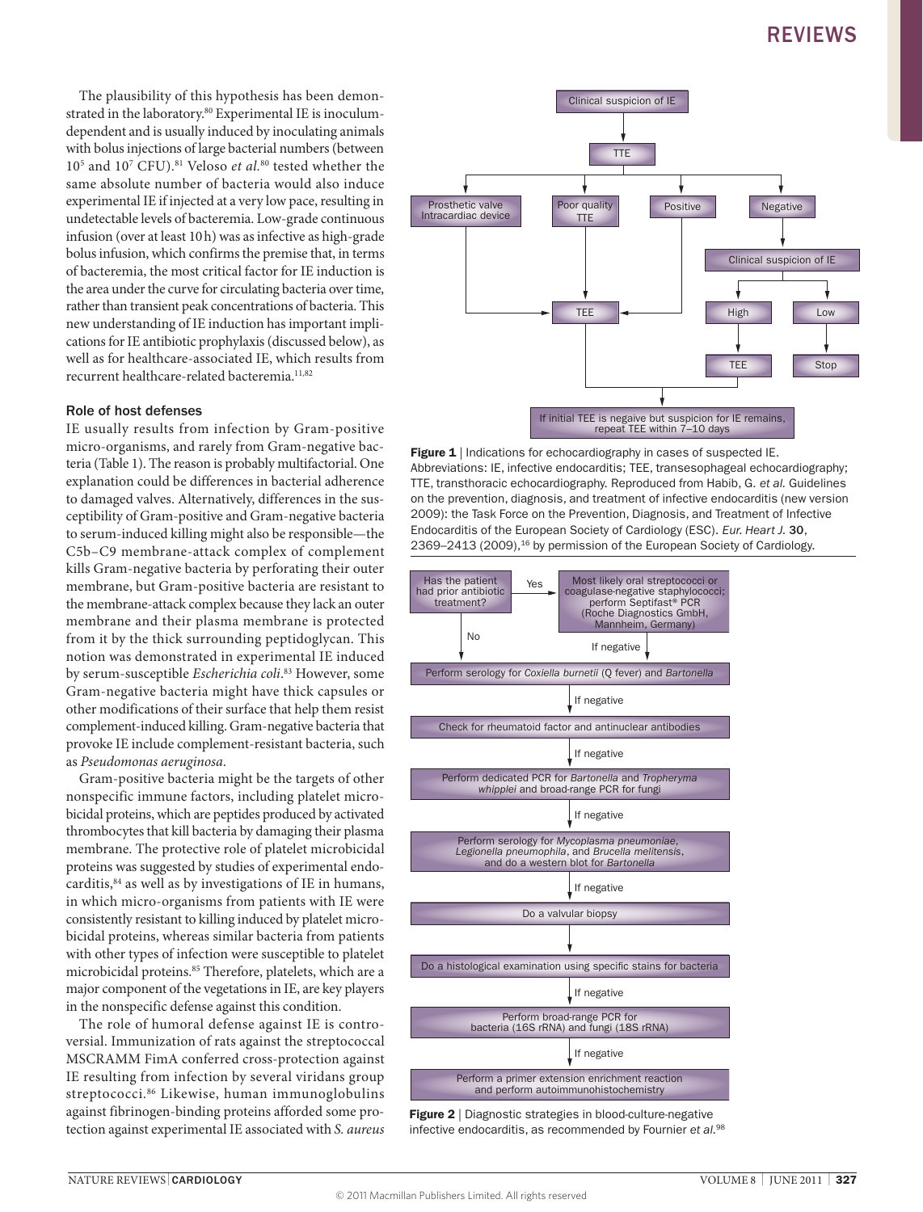The plausibility of this hypothesis has been demonstrated in the laboratory.<sup>80</sup> Experimental IE is inoculumdependent and is usually induced by inoculating animals with bolus injections of large bacterial numbers (between 105 and 107 CFU).81 Veloso *et al.*80 tested whether the same absolute number of bacteria would also induce experimental IE if injected at a very low pace, resulting in undetectable levels of bacteremia. Low-grade continuous infusion (over at least 10h) was as infective as high-grade bolus infusion, which confirms the premise that, in terms of bacteremia, the most critical factor for IE induction is the area under the curve for circulating bacteria over time, rather than transient peak concentrations of bacteria. This new understanding of IE induction has important implications for IE antibiotic prophylaxis (discussed below), as well as for healthcare-associated IE, which results from recurrent healthcare-related bacteremia.11,82

## Role of host defenses

IE usually results from infection by Gram-positive micro-organisms, and rarely from Gram-negative bacteria (Table 1). The reason is probably multifactorial. One explanation could be differences in bacterial adherence to damaged valves. Alternatively, differences in the susceptibility of Gram-positive and Gram-negative bacteria to serum-induced killing might also be responsible—the C5b–C9 membrane-attack complex of complement kills Gram-negative bacteria by perforating their outer membrane, but Gram-positive bacteria are resistant to the membrane-attack complex because they lack an outer membrane and their plasma membrane is protected from it by the thick surrounding peptidoglycan. This notion was demonstrated in experimental IE induced by serum-susceptible *Escherichia coli*. 83 However, some Gram-negative bacteria might have thick capsules or other modifications of their surface that help them resist complement-induced killing. Gram-negative bacteria that provoke IE include complement-resistant bacteria, such as *Pseudomonas aeruginosa*.

Gram-positive bacteria might be the targets of other nonspecific immune factors, including platelet microbicidal proteins, which are peptides produced by activated thrombocytes that kill bacteria by damaging their plasma membrane. The protective role of platelet microbicidal proteins was suggested by studies of experimental endocarditis,<sup>84</sup> as well as by investigations of IE in humans, in which micro-organisms from patients with IE were consistently resistant to killing induced by platelet microbicidal proteins, whereas similar bacteria from patients with other types of infection were susceptible to platelet microbicidal proteins.85 Therefore, platelets, which are a major component of the vegetations in IE, are key players in the nonspecific defense against this condition.

The role of humoral defense against IE is controversial. Immunization of rats against the streptococcal MSCRAMM FimA conferred cross-protection against IE resulting from infection by several viridans group streptococci.86 Likewise, human immunoglobulins against fibrinogen-binding proteins afforded some protection against experimental IE associated with *S. aureus*



Figure 1 | Indications for echocardiography in cases of suspected IE. Abbreviations: IE, infective endocarditis; TEE, transesophageal echocardiography; TTE, transthoracic echocardiography. Reproduced from Habib, G. *et al.* Guidelines on the prevention, diagnosis, and treatment of infective endocarditis (new version 2009): the Task Force on the Prevention, Diagnosis, and Treatment of Infective Endocarditis of the European Society of Cardiology (ESC). *Eur. Heart J.* 30, 2369–2413 (2009),<sup>16</sup> by permission of the European Society of Cardiology.



Figure 2 | Diagnostic strategies in blood-culture-negative infective endocarditis, as recommended by Fournier *et al.*<sup>98</sup>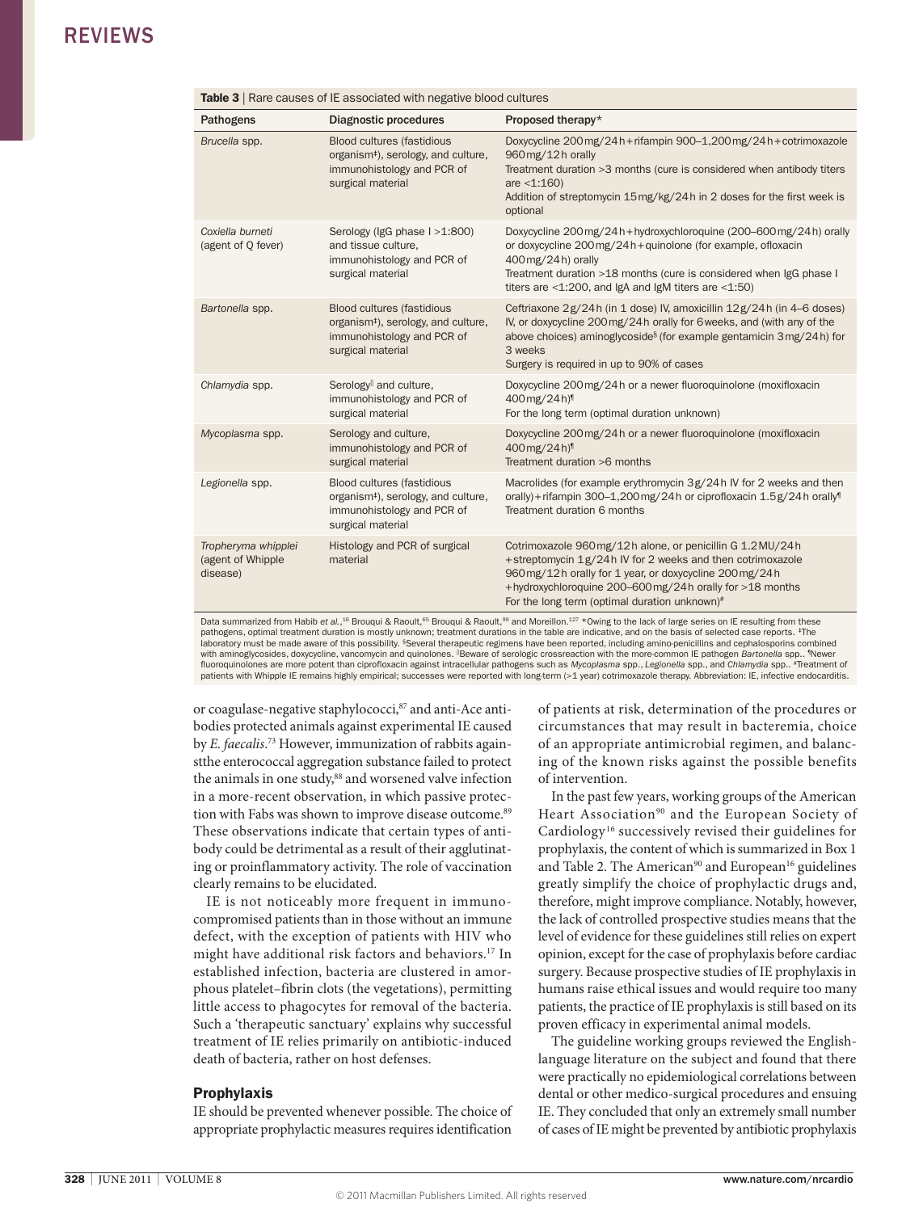| <b>Table 3</b>   Rafe causes of it associated with negative blood cultures |                                                                                                                                         |                                                                                                                                                                                                                                                                                                    |  |  |
|----------------------------------------------------------------------------|-----------------------------------------------------------------------------------------------------------------------------------------|----------------------------------------------------------------------------------------------------------------------------------------------------------------------------------------------------------------------------------------------------------------------------------------------------|--|--|
| Pathogens                                                                  | Diagnostic procedures                                                                                                                   | Proposed therapy*                                                                                                                                                                                                                                                                                  |  |  |
| Brucella spp.                                                              | <b>Blood cultures (fastidious</b><br>organism <sup>#</sup> ), serology, and culture,<br>immunohistology and PCR of<br>surgical material | Doxycycline 200 mg/24 h + rifampin 900-1,200 mg/24 h + cotrimoxazole<br>960mg/12h orally<br>Treatment duration >3 months (cure is considered when antibody titers<br>are $< 1:160$ )<br>Addition of streptomycin 15 mg/kg/24h in 2 doses for the first week is<br>optional                         |  |  |
| Coxiella burneti<br>(agent of Q fever)                                     | Serology (IgG phase I > 1:800)<br>and tissue culture.<br>immunohistology and PCR of<br>surgical material                                | Doxycycline 200 mg/24h + hydroxychloroquine (200-600 mg/24h) orally<br>or doxycycline 200 mg/24h+quinolone (for example, ofloxacin<br>400 mg/24h) orally<br>Treatment duration >18 months (cure is considered when IgG phase I<br>titers are $\leq$ 1:200, and lgA and lgM titers are $\leq$ 1:50) |  |  |
| Bartonella spp.                                                            | <b>Blood cultures (fastidious</b><br>organism <sup>#</sup> ), serology, and culture,<br>immunohistology and PCR of<br>surgical material | Ceftriaxone 2g/24h (in 1 dose) IV, amoxicillin 12g/24h (in 4-6 doses)<br>IV, or doxycycline 200 mg/24h orally for 6 weeks, and (with any of the<br>above choices) aminoglycoside <sup>§</sup> (for example gentamicin 3 mg/24 h) for<br>3 weeks<br>Surgery is required in up to 90% of cases       |  |  |
| Chlamydia spp.                                                             | Serology <sup>  </sup> and culture,<br>immunohistology and PCR of<br>surgical material                                                  | Doxycycline 200 mg/24h or a newer fluoroquinolone (moxifloxacin<br>400 mg/24 h)<br>For the long term (optimal duration unknown)                                                                                                                                                                    |  |  |
| Mycoplasma spp.                                                            | Serology and culture,<br>immunohistology and PCR of<br>surgical material                                                                | Doxycycline 200 mg/24h or a newer fluoroquinolone (moxifloxacin<br>400 mg/24 h)<br>Treatment duration >6 months                                                                                                                                                                                    |  |  |
| Legionella spp.                                                            | Blood cultures (fastidious<br>organism <sup>#</sup> ), serology, and culture,<br>immunohistology and PCR of<br>surgical material        | Macrolides (for example erythromycin 3g/24h IV for 2 weeks and then<br>orally)+rifampin 300-1,200 mg/24h or ciprofloxacin 1.5g/24h orally <sup>1</sup><br>Treatment duration 6 months                                                                                                              |  |  |
| Tropheryma whipplei<br>(agent of Whipple<br>disease)                       | Histology and PCR of surgical<br>material                                                                                               | Cotrimoxazole 960 mg/12h alone, or penicillin G 1.2 MU/24h<br>+ streptomycin 1g/24h IV for 2 weeks and then cotrimoxazole<br>960 mg/12h orally for 1 year, or doxycycline 200 mg/24h<br>+hydroxychloroquine 200-600 mg/24h orally for >18 months<br>For the long term (optimal duration unknown)#  |  |  |

Data summarized from Habib et al.,<sup>16</sup> Brouqui & Raoult,<sup>65</sup> Brouqui & Raoult,<sup>99</sup> and Moreillon.<sup>127</sup> \*Owing to the lack of large series on IE resulting from these pathogens, optimal treatment duration is mostly unknown; treatment durations in the table are indicative, and on the basis of selected case reports. ‡The<br>Iaboratory must be made aware of this possibility. <sup>§</sup>Several therap with aminoglycosides, doxycycline, vancomycin and quinolones. ||Beware of serologic crossreaction with the more-common IE pathogen *Bartonella* spp.. ¶ Newer fluoroquinolones are more potent than ciprofloxacin against intracellular pathogens such as Mycop*lasma s*pp., Legionella spp., and Chlamydia spp.. "Treatment of<br>patients with Whipple IE remains highly empirical; successes

or coagulase-negative staphylococci, 87 and anti-Ace antibodies protected animals against experimental IE caused by *E. faecalis*. 73 However, immunization of rabbits againstthe enterococcal aggregation substance failed to protect the animals in one study,<sup>88</sup> and worsened valve infection in a more-recent observation, in which passive protection with Fabs was shown to improve disease outcome.<sup>89</sup> These observations indicate that certain types of antibody could be detrimental as a result of their agglutinating or proinflammatory activity. The role of vaccination clearly remains to be elucidated.

 $\overline{r}$  if  $\overline{a}$  | Rare causes of IE associated with negative blood cultures

IE is not noticeably more frequent in immunocompromised patients than in those without an immune defect, with the exception of patients with HIV who might have additional risk factors and behaviors.17 In established infection, bacteria are clustered in amorphous platelet–fibrin clots (the vegetations), permitting little access to phagocytes for removal of the bacteria. Such a 'therapeutic sanctuary' explains why successful treatment of IE relies primarily on antibiotic-induced death of bacteria, rather on host defenses.

# **Prophylaxis**

IE should be prevented whenever possible. The choice of appropriate prophylactic measures requires identification of patients at risk, determination of the procedures or circumstances that may result in bacteremia, choice of an appropriate antimicrobial regimen, and balancing of the known risks against the possible benefits of intervention.

In the past few years, working groups of the American Heart Association<sup>90</sup> and the European Society of Cardiology<sup>16</sup> successively revised their guidelines for prophylaxis, the content of which is summarized in Box 1 and Table 2. The American<sup>90</sup> and European<sup>16</sup> guidelines greatly simplify the choice of prophylactic drugs and, therefore, might improve compliance. Notably, however, the lack of controlled prospective studies means that the level of evidence for these guidelines still relies on expert opinion, except for the case of prophylaxis before cardiac surgery. Because prospective studies of IE prophylaxis in humans raise ethical issues and would require too many patients, the practice of IE prophylaxis is still based on its proven efficacy in experimental animal models.

The guideline working groups reviewed the Englishlanguage literature on the subject and found that there were practically no epidemiological correlations between dental or other medico-surgical procedures and ensuing IE. They concluded that only an extremely small number of cases of IE might be prevented by antibiotic prophylaxis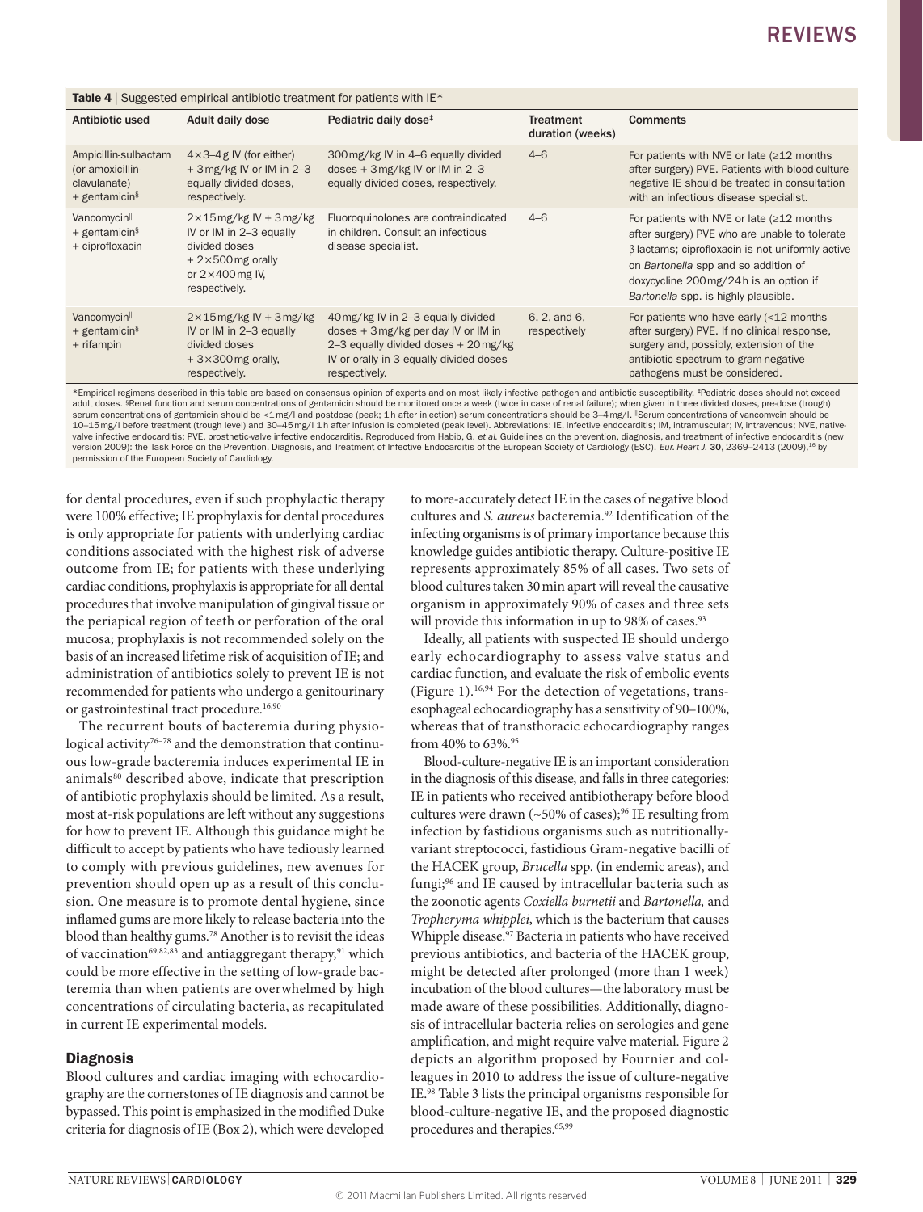#### Table 4 | Suggested empirical antibiotic treatment for patients with IE\*

| Antibiotic used                                                                         | Adult daily dose                                                                                                                                     | Pediatric daily dose <sup>#</sup>                                                                                                                                              | <b>Treatment</b><br>duration (weeks) | <b>Comments</b>                                                                                                                                                                                                                                                                |
|-----------------------------------------------------------------------------------------|------------------------------------------------------------------------------------------------------------------------------------------------------|--------------------------------------------------------------------------------------------------------------------------------------------------------------------------------|--------------------------------------|--------------------------------------------------------------------------------------------------------------------------------------------------------------------------------------------------------------------------------------------------------------------------------|
| Ampicillin-sulbactam<br>(or amoxicillin-<br>clavulanate)<br>$+$ gentamicin <sup>§</sup> | $4 \times 3 - 4$ g IV (for either)<br>$+3$ mg/kg IV or IM in 2-3<br>equally divided doses,<br>respectively.                                          | 300 mg/kg IV in 4–6 equally divided<br>doses $+3$ mg/kg IV or IM in 2-3<br>equally divided doses, respectively.                                                                | $4 - 6$                              | For patients with NVE or late $(\geq 12$ months<br>after surgery) PVE. Patients with blood-culture-<br>negative IE should be treated in consultation<br>with an infectious disease specialist.                                                                                 |
| Vancomycin<br>$+$ gentamicin <sup>§</sup><br>+ ciprofloxacin                            | $2 \times 15$ mg/kg IV + 3 mg/kg<br>IV or IM in 2-3 equally<br>divided doses<br>$+2\times500$ mg orally<br>or $2 \times 400$ mg IV,<br>respectively. | Fluoroquinolones are contraindicated<br>in children. Consult an infectious<br>disease specialist.                                                                              | $4 - 6$                              | For patients with NVE or late $(\geq 12$ months<br>after surgery) PVE who are unable to tolerate<br>β-lactams; ciprofloxacin is not uniformly active<br>on Bartonella spp and so addition of<br>doxycycline 200 mg/24h is an option if<br>Bartonella spp. is highly plausible. |
| Vancomycin<br>$+$ gentamicin <sup>§</sup><br>$+$ rifampin                               | $2 \times 15$ mg/kg IV + 3 mg/kg<br>IV or IM in 2-3 equally<br>divided doses<br>$+3\times300$ mg orally,<br>respectively.                            | 40 mg/kg IV in 2-3 equally divided<br>$doses + 3mg/kg$ per day IV or IM in<br>2-3 equally divided doses + 20 mg/kg<br>IV or orally in 3 equally divided doses<br>respectively. | 6, 2, and 6,<br>respectively         | For patients who have early $\left($ < 12 months<br>after surgery) PVE. If no clinical response,<br>surgery and, possibly, extension of the<br>antibiotic spectrum to gram-negative<br>pathogens must be considered.                                                           |
|                                                                                         |                                                                                                                                                      |                                                                                                                                                                                |                                      |                                                                                                                                                                                                                                                                                |

\*Empirical regimens described in this table are based on consensus opinion of experts and on most likely infective pathogen and antibiotic susceptibility. ‡Pediatric doses should not exceed adult doses. <sup>§</sup>Renal function and serum concentrations of gentamicin should be monitored once a week (twice in case of renal failure); when given in three divided doses, pre-dose (trough) serum concentrations of gentamicin should be <1 mg/l and postdose (peak; 1 h after injection) serum concentrations should be 3–4 mg/l. "Serum concentrations of vancomycin should be<br>10–15 mg/l before treatment (trough level valve infective endocarditis; PVE, prosthetic-valve infective endocarditis. Reproduced from Habib, G. et al. Guidelines on the prevention, diagnosis, and treatment of infective endocarditis (new version 2009): the Task Force on the Prevention, Diagnosis, and Treatment of Infective Endocarditis of the European Society of Cardiology (ESC). *Eur. Heart J.* 30, 2369-2413 (2009),<sup>16</sup> by permission of the European Society of Cardiology.

for dental procedures, even if such prophylactic therapy were 100% effective; IE prophylaxis for dental procedures is only appropriate for patients with underlying cardiac conditions associated with the highest risk of adverse outcome from IE; for patients with these underlying cardiac conditions, prophylaxis is appropriate for all dental procedures that involve manipulation of gingival tissue or the periapical region of teeth or perforation of the oral mucosa; prophylaxis is not recommended solely on the basis of an increased lifetime risk of acquisition of IE; and administration of antibiotics solely to prevent IE is not recommended for patients who undergo a genitourinary or gastrointestinal tract procedure.<sup>16,90</sup>

The recurrent bouts of bacteremia during physiological activity<sup>76-78</sup> and the demonstration that continuous low-grade bacteremia induces experimental IE in animals<sup>80</sup> described above, indicate that prescription of antibiotic prophylaxis should be limited. As a result, most at-risk populations are left without any suggestions for how to prevent IE. Although this guidance might be difficult to accept by patients who have tediously learned to comply with previous guidelines, new avenues for prevention should open up as a result of this conclusion. One measure is to promote dental hygiene, since inflamed gums are more likely to release bacteria into the blood than healthy gums.78 Another is to revisit the ideas of vaccination<sup>69,82,83</sup> and antiaggregant therapy,<sup>91</sup> which could be more effective in the setting of low-grade bacteremia than when patients are overwhelmed by high concentrations of circulating bacteria, as recapitulated in current IE experimental models.

# **Diagnosis**

Blood cultures and cardiac imaging with echocardiography are the cornerstones of IE diagnosis and cannot be bypassed. This point is emphasized in the modified Duke criteria for diagnosis of IE (Box 2), which were developed

to more-accurately detect IE in the cases of negative blood cultures and *S. aureus* bacteremia.92 Identification of the infecting organisms is of primary importance because this knowledge guides antibiotic therapy. Culture-positive IE represents approximately 85% of all cases. Two sets of blood cultures taken 30min apart will reveal the causative organism in approximately 90% of cases and three sets will provide this information in up to 98% of cases.<sup>93</sup>

Ideally, all patients with suspected IE should undergo early echocardiography to assess valve status and cardiac function, and evaluate the risk of embolic events (Figure 1).16,94 For the detection of vegetations, transesophageal echocardiography has a sensitivity of 90–100%, whereas that of transthoracic echocardiography ranges from 40% to 63%.95

Blood-culture-negative IE is an important consideration in the diagnosis of this disease, and falls in three categories: IE in patients who received antibiotherapy before blood cultures were drawn ( $\sim$ 50% of cases);<sup>96</sup> IE resulting from infection by fastidious organisms such as nutritionallyvariant streptococci, fastidious Gram-negative bacilli of the HACEK group, *Brucella* spp. (in endemic areas), and fungi;<sup>96</sup> and IE caused by intracellular bacteria such as the zoonotic agents *Coxiella burnetii* and *Bartonella,* and *Tropheryma whipplei*, which is the bacterium that causes Whipple disease.<sup>97</sup> Bacteria in patients who have received previous antibiotics, and bacteria of the HACEK group, might be detected after prolonged (more than 1 week) incubation of the blood cultures—the laboratory must be made aware of these possibilities. Additionally, diagnosis of intracellular bacteria relies on serologies and gene amplification, and might require valve material. Figure 2 depicts an algorithm proposed by Fournier and colleagues in 2010 to address the issue of culture-negative IE.98 Table 3 lists the principal organisms responsible for blood-culture-negative IE, and the proposed diagnostic procedures and therapies.<sup>65,99</sup>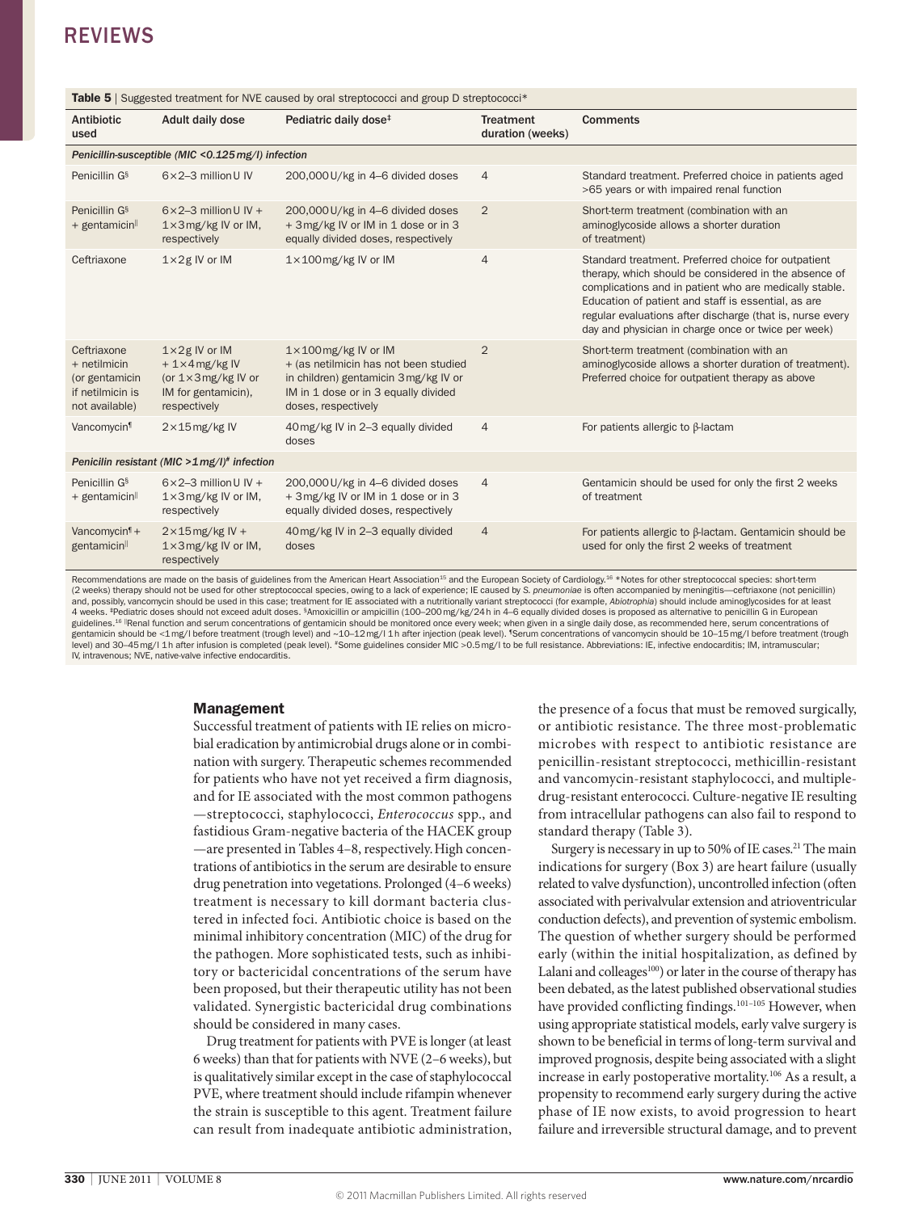| <b>Table 5</b> Suggested treatment for NVE caused by oral streptococci and group D streptococci <sup>*</sup> |                                                                                                              |                                                                                                                                                                                |                                      |                                                                                                                                                                                                                                                                                                                                                   |  |  |
|--------------------------------------------------------------------------------------------------------------|--------------------------------------------------------------------------------------------------------------|--------------------------------------------------------------------------------------------------------------------------------------------------------------------------------|--------------------------------------|---------------------------------------------------------------------------------------------------------------------------------------------------------------------------------------------------------------------------------------------------------------------------------------------------------------------------------------------------|--|--|
| <b>Antibiotic</b><br>used                                                                                    | Adult daily dose                                                                                             | Pediatric daily dose <sup>#</sup>                                                                                                                                              | <b>Treatment</b><br>duration (weeks) | <b>Comments</b>                                                                                                                                                                                                                                                                                                                                   |  |  |
| Penicillin-susceptible (MIC < 0.125 mg/l) infection                                                          |                                                                                                              |                                                                                                                                                                                |                                      |                                                                                                                                                                                                                                                                                                                                                   |  |  |
| Penicillin G <sup>§</sup>                                                                                    | $6\times2-3$ million U IV                                                                                    | 200,000 U/kg in 4–6 divided doses                                                                                                                                              | $\overline{4}$                       | Standard treatment. Preferred choice in patients aged<br>>65 years or with impaired renal function                                                                                                                                                                                                                                                |  |  |
| Penicillin G <sup>§</sup><br>$+$ gentamicin <sup>  </sup>                                                    | $6 \times 2 - 3$ million U IV +<br>$1 \times 3$ mg/kg IV or IM,<br>respectively                              | 200,000 U/kg in 4-6 divided doses<br>+ 3 mg/kg IV or IM in 1 dose or in 3<br>equally divided doses, respectively                                                               | 2                                    | Short-term treatment (combination with an<br>aminoglycoside allows a shorter duration<br>of treatment)                                                                                                                                                                                                                                            |  |  |
| Ceftriaxone                                                                                                  | $1 \times 2$ g IV or IM                                                                                      | $1 \times 100$ mg/kg IV or IM                                                                                                                                                  | $\overline{4}$                       | Standard treatment. Preferred choice for outpatient<br>therapy, which should be considered in the absence of<br>complications and in patient who are medically stable.<br>Education of patient and staff is essential, as are<br>regular evaluations after discharge (that is, nurse every<br>day and physician in charge once or twice per week) |  |  |
| Ceftriaxone<br>+ netilmicin<br>(or gentamicin<br>if netilmicin is<br>not available)                          | 1×2g IV or IM<br>$+1\times4$ mg/kg IV<br>(or $1 \times 3$ mg/kg IV or<br>IM for gentamicin),<br>respectively | $1 \times 100$ mg/kg IV or IM<br>+ (as netilmicin has not been studied<br>in children) gentamicin 3 mg/kg IV or<br>IM in 1 dose or in 3 equally divided<br>doses, respectively | 2                                    | Short-term treatment (combination with an<br>aminoglycoside allows a shorter duration of treatment).<br>Preferred choice for outpatient therapy as above                                                                                                                                                                                          |  |  |
| Vancomycin <sup>¶</sup>                                                                                      | $2 \times 15$ mg/kg IV                                                                                       | 40 mg/kg IV in 2-3 equally divided<br>doses                                                                                                                                    | $\overline{4}$                       | For patients allergic to ß-lactam                                                                                                                                                                                                                                                                                                                 |  |  |
|                                                                                                              | Penicilin resistant (MIC $>1$ mg/l) <sup>#</sup> infection                                                   |                                                                                                                                                                                |                                      |                                                                                                                                                                                                                                                                                                                                                   |  |  |
| Penicillin G <sup>§</sup><br>$+$ gentamicin                                                                  | $6\times2-3$ million U IV +<br>$1 \times 3$ mg/kg IV or IM,<br>respectively                                  | 200,000 U/kg in 4-6 divided doses<br>+ 3 mg/kg IV or IM in 1 dose or in 3<br>equally divided doses, respectively                                                               | $\overline{4}$                       | Gentamicin should be used for only the first 2 weeks<br>of treatment                                                                                                                                                                                                                                                                              |  |  |
| Vancomycin <sup>1</sup> +<br>gentamicin                                                                      | $2 \times 15$ mg/kg IV +<br>$1 \times 3$ mg/kg IV or IM,<br>respectively                                     | 40 mg/kg IV in 2-3 equally divided<br>doses                                                                                                                                    | $\overline{4}$                       | For patients allergic to $\beta$ -lactam. Gentamicin should be<br>used for only the first 2 weeks of treatment                                                                                                                                                                                                                                    |  |  |

Recommendations are made on the basis of guidelines from the American Heart Association<sup>15</sup> and the European Society of Cardiology.<sup>16</sup> \*Notes for other streptococcal species: short-term (2 weeks) therapy should not be used for other streptococcal species, owing to a lack of experience; IE caused by *S. pneumoniae* is often accompanied by meningitis—ceftriaxone (not penicillin) and, possibly, vancomycin should be used in this case; treatment for IE associated with a nutritionally variant streptococci (for example, *Abiotrophia*) should include aminoglycosides for at least 4 weeks. ‡Pediatric doses should not exceed adult doses. §Amoxicillin or ampicillin (100–200mg/kg/24h in 4–6 equally divided doses is proposed as alternative to penicillin G in European guidelines.<sup>16 ∥</sup>Renal function and serum concentrations of gentamicin should be monitored once every week; when given in a single daily dose, as recommended here, serum concentrations of<br>gentamicin should be <1 mg/l befo level) and 30–45mg/l 1h after infusion is completed (peak level). #Some guidelines consider MIC >0.5mg/l to be full resistance. Abbreviations: IE, infective endocarditis; IM, intramuscular; IV, intravenous; NVE, native-valve infective endocarditis.

# Management

Successful treatment of patients with IE relies on microbial eradication by antimicrobial drugs alone or in combination with surgery. Therapeutic schemes recommended for patients who have not yet received a firm diagnosis, and for IE associated with the most common pathogens —streptococci, staphylococci, *Enterococcus* spp., and fastidious Gram-negative bacteria of the HACEK group —are presented in Tables 4–8, respectively.High concentrations of antibiotics in the serum are desirable to ensure drug penetration into vegetations. Prolonged (4–6 weeks) treatment is necessary to kill dormant bacteria clustered in infected foci. Antibiotic choice is based on the minimal inhibitory concentration (MIC) of the drug for the pathogen. More sophisticated tests, such as inhibitory or bactericidal concentrations of the serum have been proposed, but their therapeutic utility has not been validated. Synergistic bactericidal drug combinations should be considered in many cases.

Drug treatment for patients with PVE is longer (at least 6 weeks) than that for patients with NVE (2–6 weeks), but is qualitatively similar except in the case of staphylococcal PVE, where treatment should include rifampin whenever the strain is susceptible to this agent. Treatment failure can result from inadequate antibiotic administration, the presence of a focus that must be removed surgically, or antibiotic resistance. The three most-problematic microbes with respect to antibiotic resistance are penicillin-resistant streptococci, methicillin-resistant and vancomycin-resistant staphylococci, and multipledrug-resistant enterococci. Culture-negative IE resulting from intracellular pathogens can also fail to respond to standard therapy (Table 3).

Surgery is necessary in up to 50% of IE cases.<sup>21</sup> The main indications for surgery (Box 3) are heart failure (usually related to valve dysfunction), uncontrolled infection (often associated with perivalvular extension and atrioventricular conduction defects), and prevention of systemic embolism. The question of whether surgery should be performed early (within the initial hospitalization, as defined by Lalani and colleages<sup>100</sup>) or later in the course of therapy has been debated, as the latest published observational studies have provided conflicting findings.<sup>101-105</sup> However, when using appropriate statistical models, early valve surgery is shown to be beneficial in terms of long-term survival and improved prognosis, despite being associated with a slight increase in early postoperative mortality.106 As a result, a propensity to recommend early surgery during the active phase of IE now exists, to avoid progression to heart failure and irreversible structural damage, and to prevent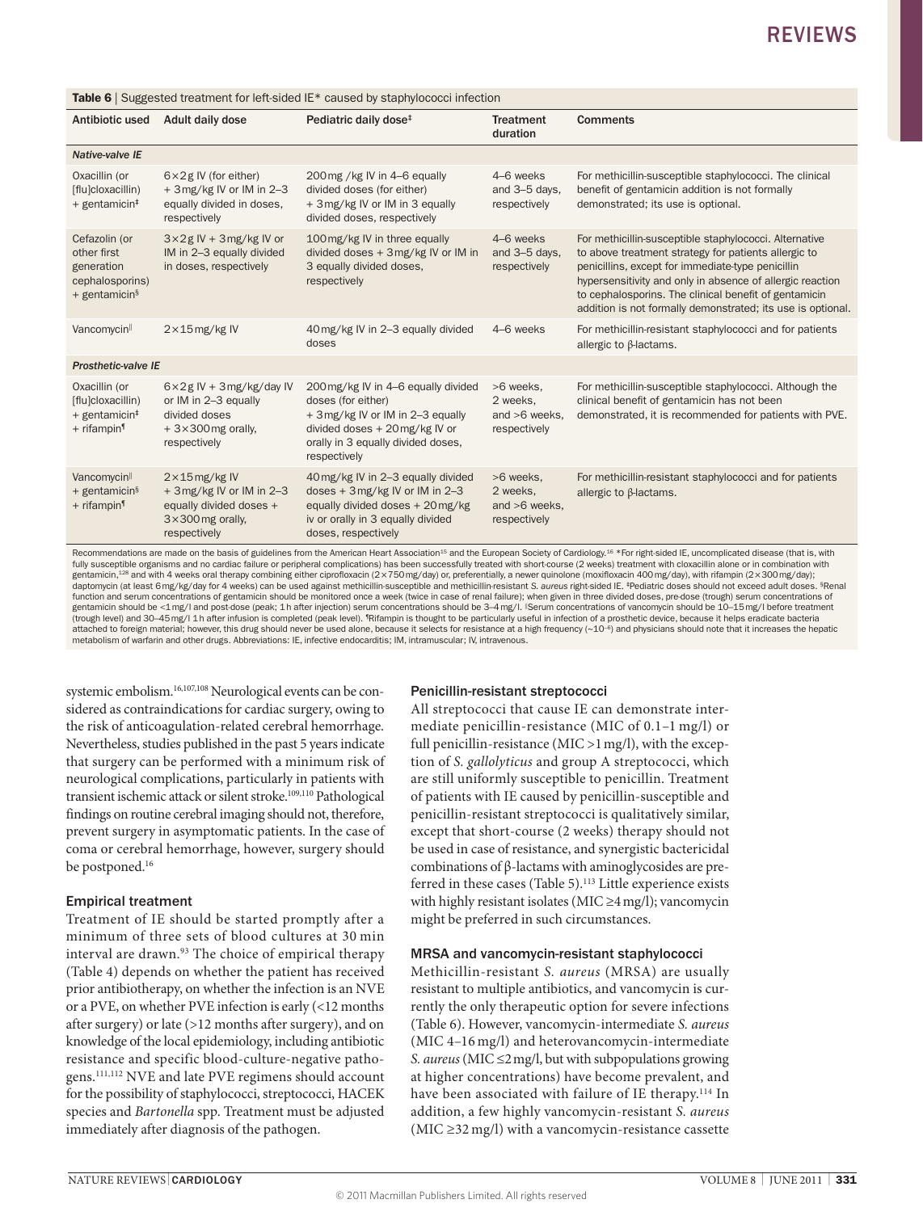# Table 6 | Suggested treatment for left-sided IE\* caused by staphylococci infection

| Antibiotic used                                                                              | Adult daily dose                                                                                                          | Pediatric daily dose <sup>#</sup>                                                                                                                                                      | <b>Treatment</b><br>duration                           | Comments                                                                                                                                                                                                                                                                                                                                                 |  |
|----------------------------------------------------------------------------------------------|---------------------------------------------------------------------------------------------------------------------------|----------------------------------------------------------------------------------------------------------------------------------------------------------------------------------------|--------------------------------------------------------|----------------------------------------------------------------------------------------------------------------------------------------------------------------------------------------------------------------------------------------------------------------------------------------------------------------------------------------------------------|--|
| <b>Native-valve IE</b>                                                                       |                                                                                                                           |                                                                                                                                                                                        |                                                        |                                                                                                                                                                                                                                                                                                                                                          |  |
| Oxacillin (or<br>[flu]cloxacillin)<br>$+$ gentamicin <sup>‡</sup>                            | $6\times 2g$ IV (for either)<br>+ 3 mg/kg IV or IM in 2-3<br>equally divided in doses,<br>respectively                    | 200 mg /kg IV in 4–6 equally<br>divided doses (for either)<br>+ 3 mg/kg IV or IM in 3 equally<br>divided doses, respectively                                                           | 4–6 weeks<br>and 3-5 days,<br>respectively             | For methicillin-susceptible staphylococci. The clinical<br>benefit of gentamicin addition is not formally<br>demonstrated; its use is optional.                                                                                                                                                                                                          |  |
| Cefazolin (or<br>other first<br>generation<br>cephalosporins)<br>$+$ gentamicin <sup>§</sup> | $3 \times 2$ g IV + 3 mg/kg IV or<br>IM in 2-3 equally divided<br>in doses, respectively                                  | 100 mg/kg IV in three equally<br>divided doses + 3 mg/kg IV or IM in<br>3 equally divided doses,<br>respectively                                                                       | 4-6 weeks<br>and 3-5 days,<br>respectively             | For methicillin-susceptible staphylococci. Alternative<br>to above treatment strategy for patients allergic to<br>penicillins, except for immediate-type penicillin<br>hypersensitivity and only in absence of allergic reaction<br>to cephalosporins. The clinical benefit of gentamicin<br>addition is not formally demonstrated; its use is optional. |  |
| Vancomycin                                                                                   | $2 \times 15$ mg/kg IV                                                                                                    | 40 mg/kg IV in 2-3 equally divided<br>doses                                                                                                                                            | 4-6 weeks                                              | For methicillin-resistant staphylococci and for patients<br>allergic to $\beta$ -lactams.                                                                                                                                                                                                                                                                |  |
| <b>Prosthetic-valve IE</b>                                                                   |                                                                                                                           |                                                                                                                                                                                        |                                                        |                                                                                                                                                                                                                                                                                                                                                          |  |
| Oxacillin (or<br>[flu]cloxacillin)<br>$+$ gentamicin <sup>‡</sup><br>+ rifampin              | $6 \times 2$ g IV + 3 mg/kg/day IV<br>or IM in 2-3 equally<br>divided doses<br>$+3\times300$ mg orally,<br>respectively   | 200 mg/kg IV in 4–6 equally divided<br>doses (for either)<br>+ 3 mg/kg IV or IM in 2-3 equally<br>divided doses + 20 mg/kg IV or<br>orally in 3 equally divided doses,<br>respectively | >6 weeks.<br>2 weeks.<br>and >6 weeks.<br>respectively | For methicillin-susceptible staphylococci. Although the<br>clinical benefit of gentamicin has not been<br>demonstrated, it is recommended for patients with PVE.                                                                                                                                                                                         |  |
| Vancomycin<br>$+$ gentamicin <sup>§</sup><br>$+$ rifampin                                    | $2 \times 15$ mg/kg IV<br>+ 3 mg/kg IV or IM in 2-3<br>equally divided doses +<br>$3\times300$ mg orally,<br>respectively | 40 mg/kg IV in 2-3 equally divided<br>doses $+3$ mg/kg IV or IM in 2-3<br>equally divided doses + 20 mg/kg<br>iv or orally in 3 equally divided<br>doses, respectively                 | >6 weeks.<br>2 weeks.<br>and >6 weeks,<br>respectively | For methicillin-resistant staphylococci and for patients<br>allergic to β-lactams.                                                                                                                                                                                                                                                                       |  |

Recommendations are made on the basis of guidelines from the American Heart Association<sup>15</sup> and the European Society of Cardiology.<sup>16</sup> \*For right-sided IE, uncomplicated disease (that is, with fully susceptible organisms and no cardiac failure or peripheral complications) has been successfully treated with short-course (2 weeks) treatment with cloxacillin alone or in combination with<br>gentamicin,<sup>128</sup> and with 4 daptomycin (at least 6mg/kg/day for 4 weeks) can be used against methicillin-susceptible and methicillin-resistant *S. aureus* right-sided IE. ‡Pediatric doses should not exceed adult doses. §Renal function and serum concentrations of gentamicin should be monitored once a week (twice in case of renal failure); when given in three divided doses, pre-dose (trough) serum concentrations of gentamicin should be <1mg/l and post-dose (peak; 1h after injection) serum concentrations should be 3–4mg/l. Serum concentrations of vancomycin should be 10–15 mg/l before treatment (trough level) and 30–45 mg/l 1h after infusion is completed (peak level). "Rifampin is thought to be particularly useful in infection of a prosthetic device, because it helps eradicate bacteria attached to foreign material; however, this drug should never be used alone, because it selects for resistance at a high frequency (~10<sup>-6)</sup> and physicians should note that it increases the hepatic metabolism of warfarin and other drugs. Abbreviations: IE, infective endocarditis; IM, intramuscular; IV, intravenous.

systemic embolism.16,107,108 Neurological events can be considered as contraindications for cardiac surgery, owing to the risk of anticoagulation-related cerebral hemorrhage. Nevertheless, studies published in the past 5 years indicate that surgery can be performed with a minimum risk of neurological complications, particularly in patients with transient ischemic attack or silent stroke.<sup>109,110</sup> Pathological findings on routine cerebral imaging should not, therefore, prevent surgery in asymptomatic patients. In the case of coma or cerebral hemorrhage, however, surgery should be postponed.<sup>16</sup>

# Empirical treatment

Treatment of IE should be started promptly after a minimum of three sets of blood cultures at 30 min interval are drawn.<sup>93</sup> The choice of empirical therapy (Table 4) depends on whether the patient has received prior antibiotherapy, on whether the infection is an NVE or a PVE, on whether PVE infection is early (<12 months after surgery) or late (>12 months after surgery), and on knowledge of the local epidemiology, including antibiotic resistance and specific blood-culture-negative pathogens.111,112 NVE and late PVE regimens should account for the possibility of staphylococci, streptococci, HACEK species and *Bartonella* spp. Treatment must be adjusted immediately after diagnosis of the pathogen.

# Penicillin-resistant streptococci

All streptococci that cause IE can demonstrate intermediate penicillin-resistance (MIC of 0.1–1 mg/l) or full penicillin-resistance (MIC >1 mg/l), with the exception of *S. gallolyticus* and group A streptococci, which are still uniformly susceptible to penicillin. Treatment of patients with IE caused by penicillin-susceptible and penicillin-resistant streptococci is qualitatively similar, except that short-course (2 weeks) therapy should not be used in case of resistance, and synergistic bactericidal combinations of β-lactams with aminoglycosides are preferred in these cases (Table 5).<sup>113</sup> Little experience exists with highly resistant isolates (MIC ≥4mg/l); vancomycin might be preferred in such circumstances.

# MRSA and vancomycin-resistant staphylococci

Methicillin-resistant *S. aureus* (MRSA) are usually resistant to multiple antibiotics, and vancomycin is currently the only therapeutic option for severe infections (Table 6). However, vancomycin-intermediate *S. aureus* (MIC 4–16 mg/l) and heterovancomycin-intermediate *S. aureus* (MIC ≤2 mg/l, but with subpopulations growing at higher concentrations) have become prevalent, and have been associated with failure of IE therapy.<sup>114</sup> In addition, a few highly vancomycin-resistant *S. aureus* (MIC ≥32 mg/l) with a vancomycin-resistance cassette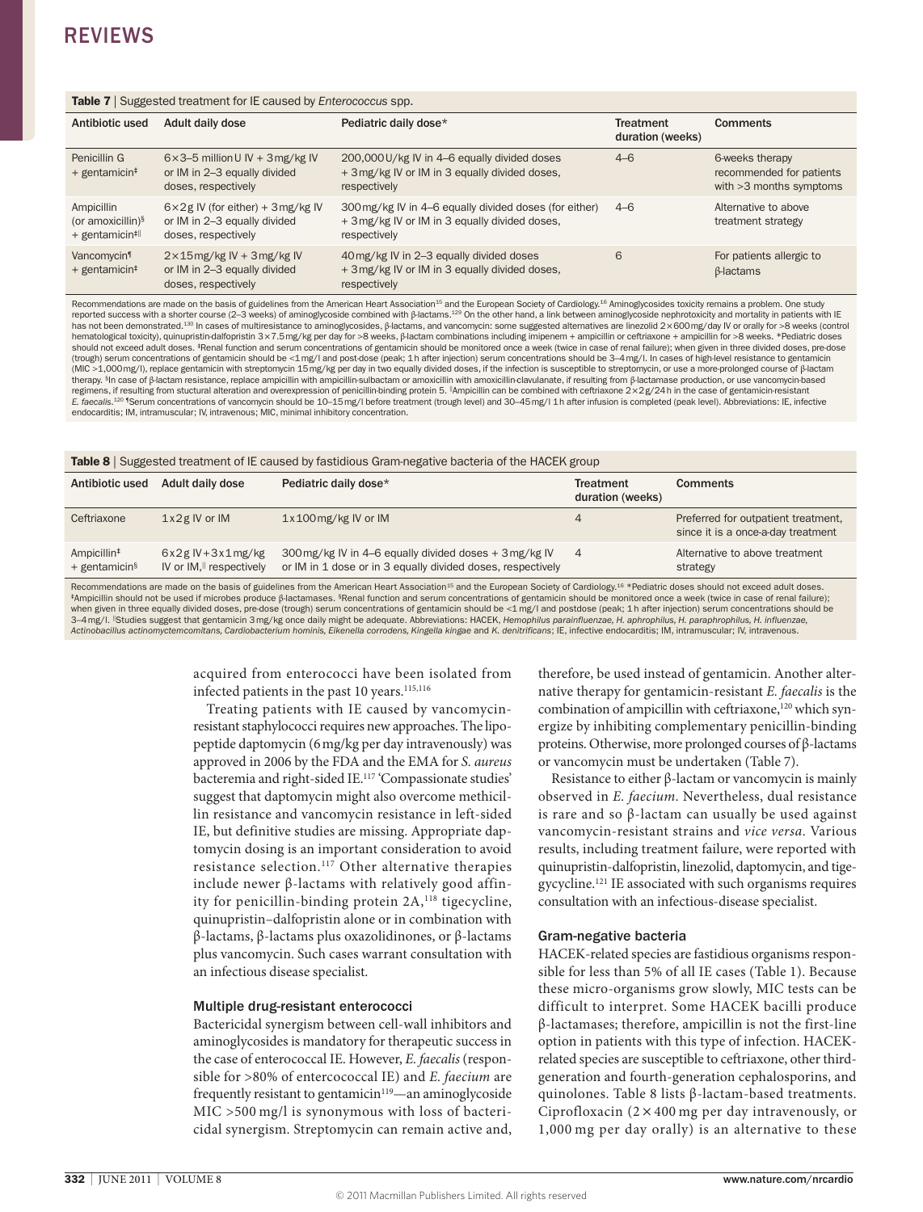#### Table 7 | Suggested treatment for IE caused by *Enterococcus* spp.

| Antibiotic used                                                     | Adult daily dose                                                                                  | Pediatric daily dose*                                                                                                    | <b>Treatment</b><br>duration (weeks) | <b>Comments</b>                                                        |
|---------------------------------------------------------------------|---------------------------------------------------------------------------------------------------|--------------------------------------------------------------------------------------------------------------------------|--------------------------------------|------------------------------------------------------------------------|
| Penicillin G<br>$+$ gentamicin <sup><math>\ddagger</math></sup>     | $6\times3-5$ million U IV + 3 mg/kg IV<br>or IM in 2-3 equally divided<br>doses, respectively     | 200,000U/kg IV in 4–6 equally divided doses<br>+ 3 mg/kg IV or IM in 3 equally divided doses,<br>respectively            | $4 - 6$                              | 6-weeks therapy<br>recommended for patients<br>with >3 months symptoms |
| Ampicillin<br>(or amoxicillin) $§$<br>$+$ gentamicin <sup>#  </sup> | $6 \times 2g$ IV (for either) + 3 mg/kg IV<br>or IM in 2-3 equally divided<br>doses, respectively | 300 mg/kg IV in 4–6 equally divided doses (for either)<br>+ 3 mg/kg IV or IM in 3 equally divided doses,<br>respectively | $4 - 6$                              | Alternative to above<br>treatment strategy                             |
| Vancomycin <sup>1</sup><br>$+$ gentamicin <sup>#</sup>              | $2\times15$ mg/kg IV + 3 mg/kg IV<br>or IM in 2-3 equally divided<br>doses, respectively          | 40 mg/kg IV in 2-3 equally divided doses<br>+ 3 mg/kg IV or IM in 3 equally divided doses,<br>respectively               | 6                                    | For patients allergic to<br>$\beta$ -lactams                           |

Recommendations are made on the basis of guidelines from the American Heart Association<sup>15</sup> and the European Society of Cardiology.<sup>16</sup> Aminoglycosides toxicity remains a problem. One study reported success with a shorter course (2-3 weeks) of aminoglycoside combined with β-lactams.<sup>129</sup> On the other hand, a link between aminoglycoside nephrotoxicity and mortality in patients with IE has not been demonstrated.<sup>130</sup> In cases of multiresistance to aminoglycosides, β-lactams, and vancomycin: some suggested alternatives are linezolid 2×600 mg/day IV or orally for >8 weeks (control<br>hematological toxicity), (trough) serum concentrations of gentamicin should be <1mg/l and post-dose (peak; 1h after injection) serum concentrations should be 3–4mg/l. In cases of high-level resistance to gentamicin (MIC >1,000 mg/l), replace gentamicin with streptomycin 15 mg/kg per day in two equally divided doses, if the infection is susceptible to streptomycin, or use a more-prolonged course of β-lactam<br>therapy. <sup>§</sup>In case of βregimens, if resulting from stuctural alteration and overexpression of penicillin-binding protein 5. ||Ampicillin can be combined with ceftriaxone 2×2g/24h in the case of gentamicin-resistant<br>E. faecalis.<sup>29</sup> "Serum concen

#### Table 8 | Suggested treatment of IE caused by fastidious Gram-negative bacteria of the HACEK group

| Antibiotic used                                        | Adult daily dose                                                | Pediatric daily dose*                                                                                                 | <b>Treatment</b><br>duration (weeks) | <b>Comments</b>                                                           |
|--------------------------------------------------------|-----------------------------------------------------------------|-----------------------------------------------------------------------------------------------------------------------|--------------------------------------|---------------------------------------------------------------------------|
| Ceftriaxone                                            | $1x2g$ IV or IM                                                 | $1x100$ mg/kg IV or IM                                                                                                | 4                                    | Preferred for outpatient treatment,<br>since it is a once-a-day treatment |
| Ampicillin <sup>#</sup><br>$+$ gentamicin <sup>§</sup> | $6x2g$ IV + $3x1mg/kg$<br>IV or $IM$ , $\parallel$ respectively | 300 mg/kg IV in 4-6 equally divided doses + 3 mg/kg IV<br>or IM in 1 dose or in 3 equally divided doses, respectively | $\overline{4}$                       | Alternative to above treatment<br>strategy                                |

Recommendations are made on the basis of guidelines from the American Heart Association<sup>15</sup> and the European Society of Cardiology.<sup>16</sup> \*Pediatric doses should not exceed adult doses. ‡Ampicillin should not be used if microbes produce β-lactamases. §Renal function and serum concentrations of gentamicin should be monitored once a week (twice in case of renal failure); when given in three equally divided doses, pre-dose (trough) serum concentrations of gentamicin should be <1 mg/l and postdose (peak; 1 h after injection) serum concentrations should be 3-4 mg/l. <sup>Ii</sup>Studies suggest that gentamicin 3 mg/kg once daily might be adequate. Abbreviations: HACEK, *Hemophilus parainfluenzae, H. aphrophilus, H. paraphrophilus, H. influenzae*, Actinobacillus actinomyctemcomitans, Cardiobacterium hominis, Eikenella corrodens, Kingella kingae and K. denitrificans; IE, infective endocarditis; IM, intramuscular; IV, intravenous.

> acquired from enterococci have been isolated from infected patients in the past 10 years.<sup>115,116</sup>

> Treating patients with IE caused by vancomycinresistant staphylococci requires new approaches. The lipopeptide daptomycin (6mg/kg per day intravenously) was approved in 2006 by the FDA and the EMA for *S. aureus* bacteremia and right-sided IE.117 'Compassionate studies' suggest that daptomycin might also overcome methicillin resistance and vancomycin resistance in left-sided IE, but definitive studies are missing. Appropriate daptomycin dosing is an important consideration to avoid resistance selection.<sup>117</sup> Other alternative therapies include newer β-lactams with relatively good affinity for penicillin-binding protein  $2A$ ,<sup>118</sup> tigecycline, quinupristin–dalfopristin alone or in combination with β-lactams, β-lactams plus oxazolidinones, or β-lactams plus vancomycin. Such cases warrant consultation with an infectious disease specialist.

# Multiple drug-resistant enterococci

Bactericidal synergism between cell-wall inhibitors and aminoglycosides is mandatory for therapeutic success in the case of enterococcal IE. However, *E. faecalis* (responsible for >80% of entercococcal IE) and *E. faecium* are frequently resistant to gentamicin<sup>119</sup>-an aminoglycoside MIC >500 mg/l is synonymous with loss of bactericidal synergism. Streptomycin can remain active and, therefore, be used instead of gentamicin. Another alternative therapy for gentamicin-resistant *E. faecalis* is the combination of ampicillin with ceftriaxone,<sup>120</sup> which synergize by inhibiting complementary penicillin-binding proteins. Otherwise, more prolonged courses of β-lactams or vancomycin must be undertaken (Table 7).

Resistance to either β-lactam or vancomycin is mainly observed in *E. faecium*. Nevertheless, dual resistance is rare and so β-lactam can usually be used against vancomycin-resistant strains and *vice versa*. Various results, including treatment failure, were reported with quinupristin-dalfopristin, linezolid, daptomycin, and tigegycycline.121 IE associated with such organisms requires consultation with an infectious-disease specialist.

#### Gram-negative bacteria

HACEK-related species are fastidious organisms responsible for less than 5% of all IE cases (Table 1). Because these micro-organisms grow slowly, MIC tests can be difficult to interpret. Some HACEK bacilli produce β-lactamases; therefore, ampicillin is not the first-line option in patients with this type of infection. HACEKrelated species are susceptible to ceftriaxone, other thirdgeneration and fourth-generation cephalosporins, and quinolones. Table 8 lists β-lactam-based treatments. Ciprofloxacin  $(2 \times 400 \text{ mg per day intravenously, or }$ 1,000 mg per day orally) is an alternative to these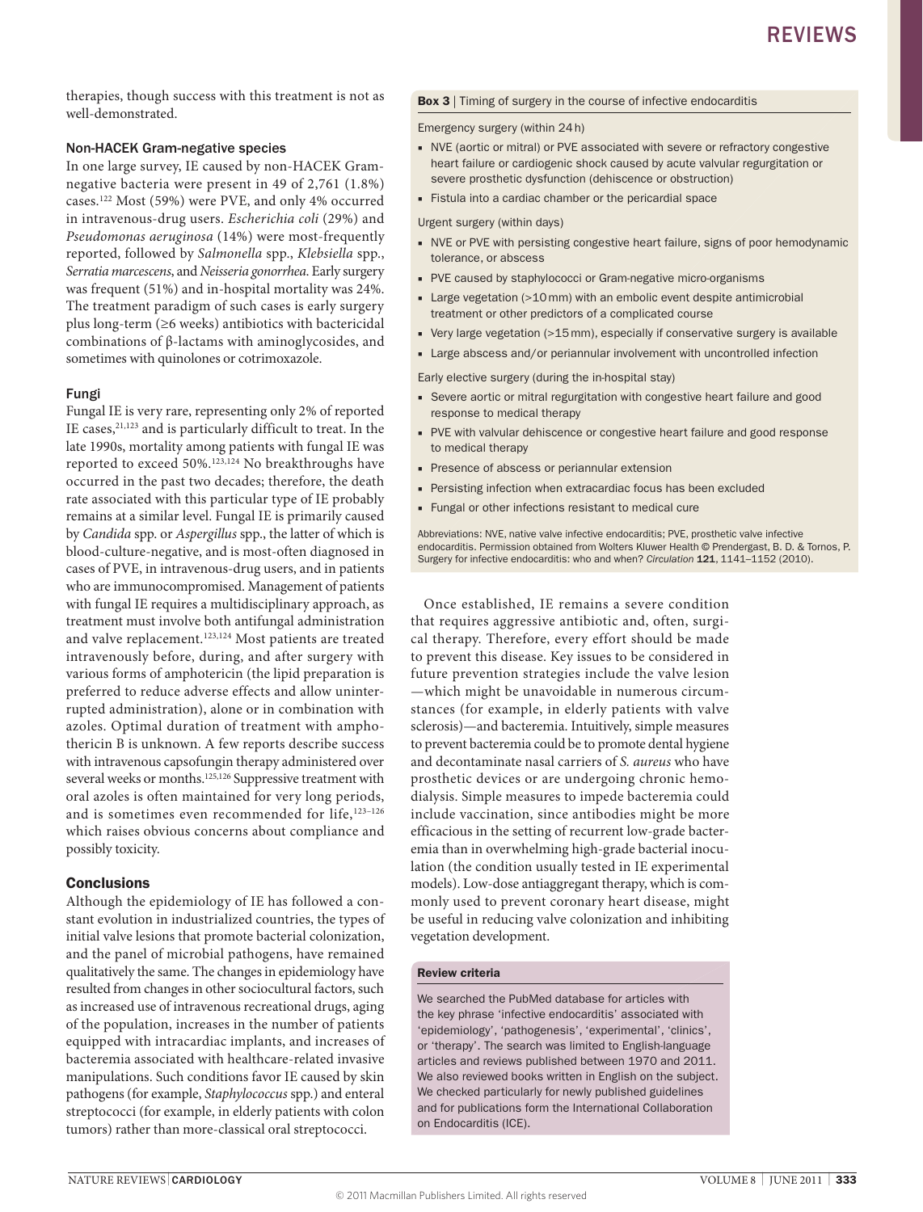therapies, though success with this treatment is not as well-demonstrated.

# Non-HACEK Gram-negative species

In one large survey, IE caused by non-HACEK Gramnegative bacteria were present in 49 of 2,761 (1.8%) cases.122 Most (59%) were PVE, and only 4% occurred in intravenous-drug users. *Escherichia coli* (29%) and *Pseudomonas aeruginosa* (14%) were most-frequently reported, followed by *Salmonella* spp., *Klebsiella* spp., *Serratia marcescens*, and *Neisseria gonorrhea*. Early surgery was frequent (51%) and in-hospital mortality was 24%. The treatment paradigm of such cases is early surgery plus long-term (≥6 weeks) antibiotics with bactericidal combinations of β-lactams with aminoglycosides, and sometimes with quinolones or cotrimoxazole.

# Fungi

Fungal IE is very rare, representing only 2% of reported IE cases, $21,123$  and is particularly difficult to treat. In the late 1990s, mortality among patients with fungal IE was reported to exceed 50%.123,124 No breakthroughs have occurred in the past two decades; therefore, the death rate associated with this particular type of IE probably remains at a similar level. Fungal IE is primarily caused by *Candida* spp. or *Aspergillus* spp., the latter of which is blood-culture-negative, and is most-often diagnosed in cases of PVE, in intravenous-drug users, and in patients who are immunocompromised. Management of patients with fungal IE requires a multidisciplinary approach, as treatment must involve both antifungal administration and valve replacement.<sup>123,124</sup> Most patients are treated intravenously before, during, and after surgery with various forms of amphotericin (the lipid preparation is preferred to reduce adverse effects and allow uninterrupted administration), alone or in combination with azoles. Optimal duration of treatment with amphothericin B is unknown. A few reports describe success with intravenous capsofungin therapy administered over several weeks or months.<sup>125,126</sup> Suppressive treatment with oral azoles is often maintained for very long periods, and is sometimes even recommended for life,<sup>123-126</sup> which raises obvious concerns about compliance and possibly toxicity.

# **Conclusions**

Although the epidemiology of IE has followed a constant evolution in industrialized countries, the types of initial valve lesions that promote bacterial colonization, and the panel of microbial pathogens, have remained qualitatively the same. The changes in epidemiology have resulted from changes in other sociocultural factors, such as increased use of intravenous recreational drugs, aging of the population, increases in the number of patients equipped with intracardiac implants, and increases of bacteremia associated with healthcare-related invasive manipulations. Such conditions favor IE caused by skin pathogens (for example, *Staphylococcus* spp.) and enteral streptococci (for example, in elderly patients with colon tumors) rather than more-classical oral streptococci.

# Box 3 | Timing of surgery in the course of infective endocarditis

#### Emergency surgery (within 24h)

- NVE (aortic or mitral) or PVE associated with severe or refractory congestive heart failure or cardiogenic shock caused by acute valvular regurgitation or severe prosthetic dysfunction (dehiscence or obstruction)
- Fistula into a cardiac chamber or the pericardial space

#### Urgent surgery (within days)

- NVE or PVE with persisting congestive heart failure, signs of poor hemodynamic tolerance, or abscess
- PVE caused by staphylococci or Gram-negative micro-organisms
- Large vegetation (>10 mm) with an embolic event despite antimicrobial treatment or other predictors of a complicated course
- Very large vegetation (>15 mm), especially if conservative surgery is available
- Large abscess and/or periannular involvement with uncontrolled infection

Early elective surgery (during the in-hospital stay)

- Severe aortic or mitral regurgitation with congestive heart failure and good response to medical therapy
- PVE with valvular dehiscence or congestive heart failure and good response to medical therapy
- Presence of abscess or periannular extension
- Persisting infection when extracardiac focus has been excluded
- Fungal or other infections resistant to medical cure

Abbreviations: NVE, native valve infective endocarditis; PVE, prosthetic valve infective endocarditis. Permission obtained from Wolters Kluwer Health © Prendergast, B. D. & Tornos, P. Surgery for infective endocarditis: who and when? *Circulation* 121, 1141–1152 (2010).

Once established, IE remains a severe condition that requires aggressive antibiotic and, often, surgical therapy. Therefore, every effort should be made to prevent this disease. Key issues to be considered in future prevention strategies include the valve lesion —which might be unavoidable in numerous circumstances (for example, in elderly patients with valve sclerosis)—and bacteremia. Intuitively, simple measures to prevent bacteremia could be to promote dental hygiene and decontaminate nasal carriers of *S. aureus* who have prosthetic devices or are undergoing chronic hemodialysis. Simple measures to impede bacteremia could include vaccination, since antibodies might be more efficacious in the setting of recurrent low-grade bacteremia than in overwhelming high-grade bacterial inoculation (the condition usually tested in IE experimental models). Low-dose antiaggregant therapy, which is commonly used to prevent coronary heart disease, might be useful in reducing valve colonization and inhibiting vegetation development.

## Review criteria

We searched the PubMed database for articles with the key phrase 'infective endocarditis' associated with 'epidemiology', 'pathogenesis', 'experimental', 'clinics', or 'therapy'. The search was limited to English-language articles and reviews published between 1970 and 2011. We also reviewed books written in English on the subject. We checked particularly for newly published guidelines and for publications form the International Collaboration on Endocarditis (ICE).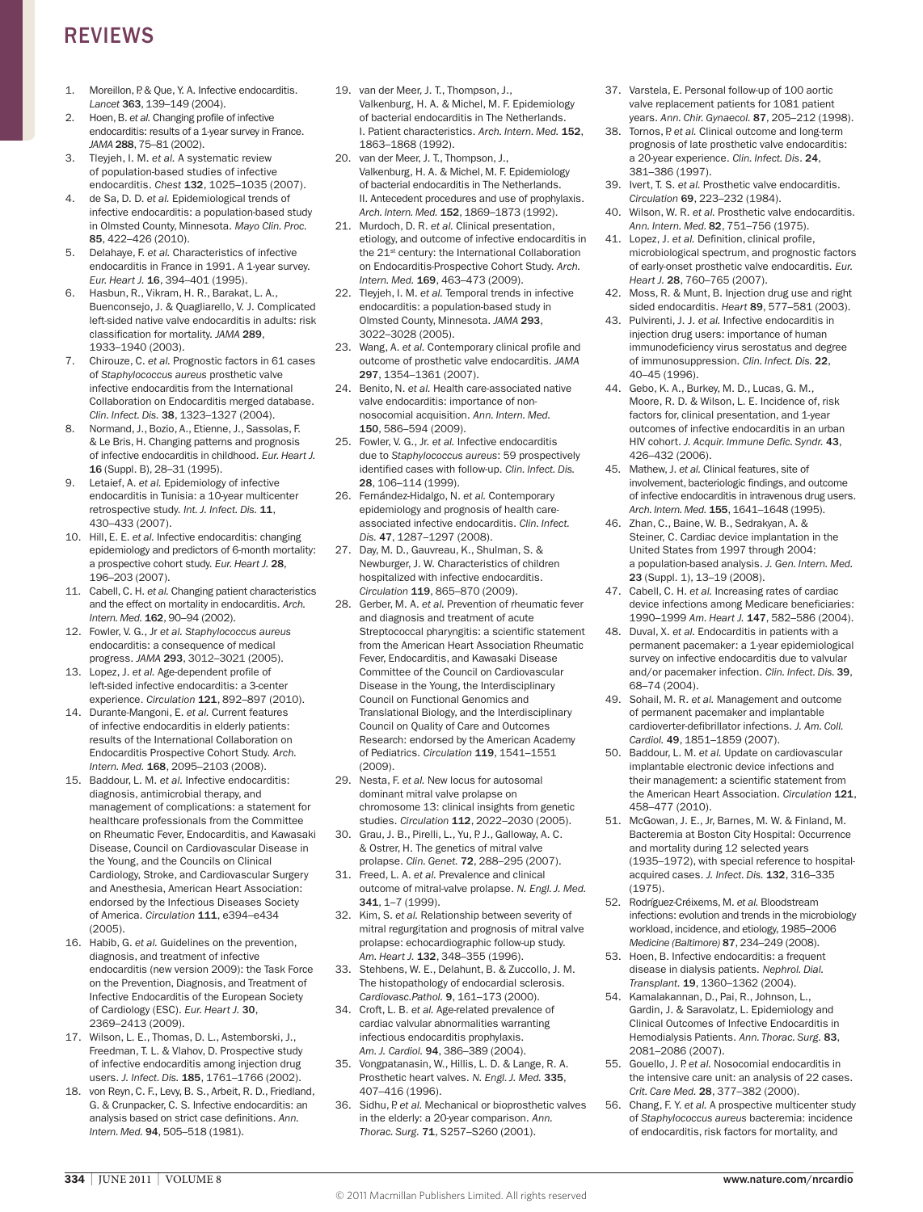- 1. Moreillon, P.& Que, Y. A. Infective endocarditis. *Lancet* 363, 139–149 (2004).
- 2. Hoen, B. *et al.* Changing profile of infective endocarditis: results of a 1-year survey in France. *JAMA* 288, 75–81 (2002).
- 3. Tleyjeh, I. M. *et al.* A systematic review of population-based studies of infective endocarditis. *Chest* 132, 1025–1035 (2007).
- 4. de Sa, D. D. *et al.* Epidemiological trends of infective endocarditis: a population-based study in Olmsted County, Minnesota. *Mayo Clin. Proc.* 85, 422–426 (2010).
- 5. Delahaye, F. *et al.* Characteristics of infective endocarditis in France in 1991. A 1-year survey. *Eur. Heart J.* 16, 394–401 (1995).
- 6. Hasbun, R., Vikram, H. R., Barakat, L. A., Buenconsejo, J. & Quagliarello, V. J. Complicated left-sided native valve endocarditis in adults: risk classification for mortality. *JAMA* 289, 1933–1940 (2003).
- 7. Chirouze, C. *et al.* Prognostic factors in 61 cases of *Staphylococcus aureus* prosthetic valve infective endocarditis from the International Collaboration on Endocarditis merged database. *Clin. Infect. Dis.* 38, 1323–1327 (2004).
- 8. Normand, J., Bozio, A., Etienne, J., Sassolas, F. & Le Bris, H. Changing patterns and prognosis of infective endocarditis in childhood. *Eur. Heart J.* 16 (Suppl. B), 28–31 (1995).
- 9. Letaief, A. *et al.* Epidemiology of infective endocarditis in Tunisia: a 10-year multicenter retrospective study. Int. J. Infect. Dis. 11, 430–433 (2007).
- 10. Hill, E. E. *et al.* Infective endocarditis: changing epidemiology and predictors of 6-month mortality: a prospective cohort study. *Eur. Heart J.* 28, 196–203 (2007).
- 11. Cabell, C. H. *et al.* Changing patient characteristics and the effect on mortality in endocarditis. *Arch. Intern. Med.* 162, 90–94 (2002).
- 12. Fowler, V. G., Jr *et al. Staphylococcus aureus* endocarditis: a consequence of medical progress. *JAMA* 293, 3012–3021 (2005).
- 13. Lopez, J. *et al.* Age-dependent profile of left-sided infective endocarditis: a 3-center experience. *Circulation* 121, 892–897 (2010).
- 14. Durante-Mangoni, E. *et al.* Current features of infective endocarditis in elderly patients: results of the International Collaboration on Endocarditis Prospective Cohort Study. *Arch. Intern. Med.* 168, 2095–2103 (2008).
- 15. Baddour, L. M. *et al.* Infective endocarditis: diagnosis, antimicrobial therapy, and management of complications: a statement for healthcare professionals from the Committee on Rheumatic Fever, Endocarditis, and Kawasaki Disease, Council on Cardiovascular Disease in the Young, and the Councils on Clinical Cardiology, Stroke, and Cardiovascular Surgery and Anesthesia, American Heart Association: endorsed by the Infectious Diseases Society of America. *Circulation* 111, e394–e434 (2005).
- 16. Habib, G. *et al.* Guidelines on the prevention, diagnosis, and treatment of infective endocarditis (new version 2009): the Task Force on the Prevention, Diagnosis, and Treatment of Infective Endocarditis of the European Society of Cardiology (ESC). *Eur. Heart J.* 30, 2369–2413 (2009).
- 17. Wilson, L. E., Thomas, D. L., Astemborski, J., Freedman, T. L. & Vlahov, D. Prospective study of infective endocarditis among injection drug users. *J. Infect. Dis.* 185, 1761–1766 (2002).
- 18. von Reyn, C. F., Levy, B. S., Arbeit, R. D., Friedland, G. & Crunpacker, C. S. Infective endocarditis: an analysis based on strict case definitions. *Ann. Intern. Med.* 94, 505–518 (1981).
- 19. van der Meer, J. T., Thompson, J., Valkenburg, H. A. & Michel, M. F. Epidemiology of bacterial endocarditis in The Netherlands. I. Patient characteristics. *Arch. Intern. Med.* 152, 1863–1868 (1992).
- 20. van der Meer, J. T., Thompson, J., Valkenburg, H. A. & Michel, M. F. Epidemiology of bacterial endocarditis in The Netherlands. II. Antecedent procedures and use of prophylaxis. *Arch. Intern. Med.* 152, 1869–1873 (1992).
- 21. Murdoch, D. R. *et al.* Clinical presentation, etiology, and outcome of infective endocarditis in the 21<sup>st</sup> century: the International Collaboration on Endocarditis-Prospective Cohort Study. *Arch. Intern. Med.* 169, 463–473 (2009).
- 22. Tleyjeh, I. M. *et al.* Temporal trends in infective endocarditis: a population-based study in Olmsted County, Minnesota. *JAMA* 293, 3022–3028 (2005).
- 23. Wang, A. *et al.* Contemporary clinical profile and outcome of prosthetic valve endocarditis. *JAMA* 297, 1354–1361 (2007).
- 24. Benito, N. *et al.* Health care-associated native valve endocarditis: importance of nonnosocomial acquisition. *Ann. Intern. Med.* 150, 586–594 (2009).
- 25. Fowler, V. G., Jr. *et al.* Infective endocarditis due to *Staphylococcus aureus*: 59 prospectively identified cases with follow-up. *Clin. Infect. Dis.* 28, 106–114 (1999).
- 26. Fernández-Hidalgo, N. *et al.* Contemporary epidemiology and prognosis of health careassociated infective endocarditis. *Clin. Infect. Dis.* 47, 1287–1297 (2008).
- 27. Day, M. D., Gauvreau, K., Shulman, S. & Newburger, J. W. Characteristics of children hospitalized with infective endocarditis. *Circulation* 119, 865–870 (2009).
- 28. Gerber, M. A. *et al.* Prevention of rheumatic fever and diagnosis and treatment of acute Streptococcal pharyngitis: a scientific statement from the American Heart Association Rheumatic Fever, Endocarditis, and Kawasaki Disease Committee of the Council on Cardiovascular Disease in the Young, the Interdisciplinary Council on Functional Genomics and Translational Biology, and the Interdisciplinary Council on Quality of Care and Outcomes Research: endorsed by the American Academy of Pediatrics. *Circulation* 119, 1541–1551 (2009).
- 29. Nesta, F. *et al.* New locus for autosomal dominant mitral valve prolapse on chromosome 13: clinical insights from genetic studies. *Circulation* 112, 2022–2030 (2005).
- 30. Grau, J. B., Pirelli, L., Yu, P. J., Galloway, A. C. & Ostrer, H. The genetics of mitral valve prolapse. *Clin. Genet.* 72, 288–295 (2007).
- 31. Freed, L. A. *et al.* Prevalence and clinical outcome of mitral-valve prolapse. *N. Engl. J. Med.* 341, 1–7 (1999).
- 32. Kim, S. *et al.* Relationship between severity of mitral regurgitation and prognosis of mitral valve prolapse: echocardiographic follow-up study. *Am. Heart J.* 132, 348–355 (1996).
- 33. Stehbens, W. E., Delahunt, B. & Zuccollo, J. M. The histopathology of endocardial sclerosis. *Cardiovasc.Pathol.* 9, 161–173 (2000).
- 34. Croft, L. B. *et al.* Age-related prevalence of cardiac valvular abnormalities warranting infectious endocarditis prophylaxis. *Am. J. Cardiol.* 94, 386–389 (2004).
- 35. Vongpatanasin, W., Hillis, L. D. & Lange, R. A. Prosthetic heart valves. *N. Engl. J. Med.* 335, 407–416 (1996).
- 36. Sidhu, P. et al. Mechanical or bioprosthetic valves in the elderly: a 20-year comparison. *Ann. Thorac. Surg.* 71, S257–S260 (2001).
- 37. Varstela, E. Personal follow-up of 100 aortic valve replacement patients for 1081 patient years. *Ann. Chir. Gynaecol.* 87, 205–212 (1998).
- 38. Tornos, P. *et al.* Clinical outcome and long-term prognosis of late prosthetic valve endocarditis: a 20-year experience. *Clin. Infect. Dis*. 24, 381–386 (1997).
- 39. Ivert, T. S. *et al.* Prosthetic valve endocarditis. *Circulation* 69, 223–232 (1984).
- 40. Wilson, W. R. *et al.* Prosthetic valve endocarditis. *Ann. Intern. Med.* 82, 751–756 (1975).
- 41. Lopez, J. *et al.* Definition, clinical profile, microbiological spectrum, and prognostic factors of early-onset prosthetic valve endocarditis. *Eur. Heart J.* 28, 760–765 (2007).
- 42. Moss, R. & Munt, B. Injection drug use and right sided endocarditis. *Heart* 89, 577–581 (2003).
- 43. Pulvirenti, J. J. *et al.* Infective endocarditis in injection drug users: importance of human immunodeficiency virus serostatus and degree of immunosuppression. *Clin. Infect. Dis.* 22, 40–45 (1996).
- 44. Gebo, K. A., Burkey, M. D., Lucas, G. M., Moore, R. D. & Wilson, L. E. Incidence of, risk factors for, clinical presentation, and 1-year outcomes of infective endocarditis in an urban HIV cohort. *J. Acquir. Immune Defic. Syndr.* 43, 426–432 (2006).
- 45. Mathew, J. *et al.* Clinical features, site of involvement, bacteriologic findings, and outcome of infective endocarditis in intravenous drug users. *Arch. Intern. Med.* 155, 1641–1648 (1995).
- 46. Zhan, C., Baine, W. B., Sedrakyan, A. & Steiner, C. Cardiac device implantation in the United States from 1997 through 2004: a population-based analysis. *J. Gen. Intern. Med.* 23 (Suppl. 1), 13–19 (2008).
- 47. Cabell, C. H. *et al.* Increasing rates of cardiac device infections among Medicare beneficiaries: 1990–1999 *Am. Heart J.* 147, 582–586 (2004).
- 48. Duval, X. *et al.* Endocarditis in patients with a permanent pacemaker: a 1-year epidemiological survey on infective endocarditis due to valvular and/or pacemaker infection. *Clin. Infect. Dis.* 39, 68–74 (2004).
- 49. Sohail, M. R. *et al.* Management and outcome of permanent pacemaker and implantable cardioverter-defibrillator infections. *J. Am. Coll. Cardiol.* 49, 1851–1859 (2007).
- 50. Baddour, L. M. *et al.* Update on cardiovascular implantable electronic device infections and their management: a scientific statement from the American Heart Association. *Circulation* 121, 458–477 (2010).
- 51. McGowan, J. E., Jr, Barnes, M. W. & Finland, M. Bacteremia at Boston City Hospital: Occurrence and mortality during 12 selected years (1935–1972), with special reference to hospitalacquired cases. *J. Infect. Dis.* 132, 316–335 (1975).
- 52. Rodríguez-Créixems, M. *et al.* Bloodstream infections: evolution and trends in the microbiology workload, incidence, and etiology, 1985–2006 *Medicine (Baltimore)* 87, 234–249 (2008).
- 53. Hoen, B. Infective endocarditis: a frequent disease in dialysis patients. *Nephrol. Dial. Transplant.* 19, 1360–1362 (2004).
- 54. Kamalakannan, D., Pai, R., Johnson, L., Gardin, J. & Saravolatz, L. Epidemiology and Clinical Outcomes of Infective Endocarditis in Hemodialysis Patients. *Ann. Thorac. Surg.* 83, 2081–2086 (2007).
- 55. Gouello, J. P. *et al.* Nosocomial endocarditis in the intensive care unit: an analysis of 22 cases. *Crit. Care Med.* 28, 377–382 (2000).
- 56. Chang, F. Y. *et al.* A prospective multicenter study of *Staphylococcus aureus* bacteremia: incidence of endocarditis, risk factors for mortality, and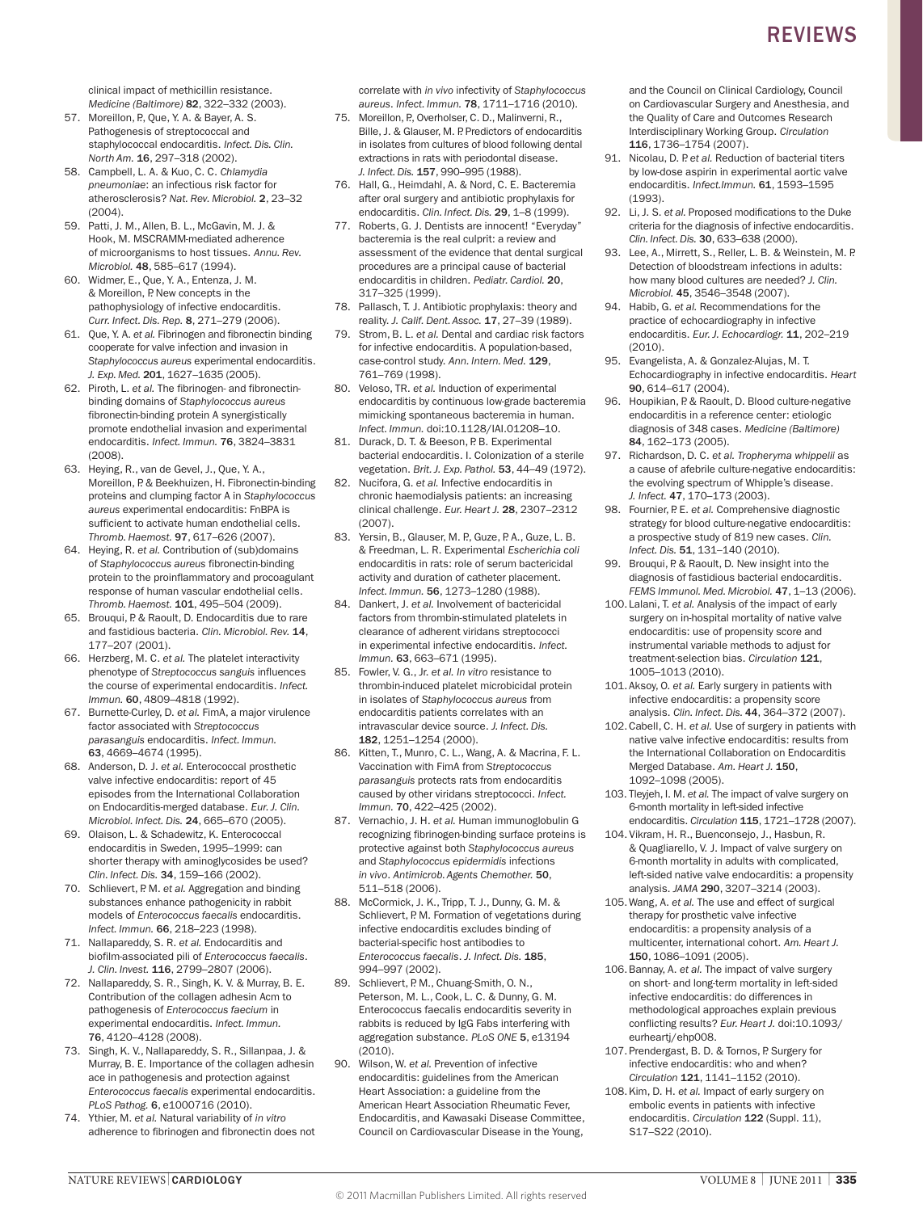clinical impact of methicillin resistance. *Medicine (Baltimore)* 82, 322–332 (2003).

- 57. Moreillon, P., Que, Y. A. & Bayer, A. S. Pathogenesis of streptococcal and staphylococcal endocarditis. *Infect. Dis. Clin. North Am.* 16, 297–318 (2002).
- 58. Campbell, L. A. & Kuo, C. C. *Chlamydia pneumoniae*: an infectious risk factor for atherosclerosis? *Nat. Rev. Microbiol.* 2, 23–32  $(2004)$
- 59. Patti, J. M., Allen, B. L., McGavin, M. J. & Hook, M. MSCRAMM-mediated adherence of microorganisms to host tissues. *Annu. Rev. Microbiol.* 48, 585–617 (1994).
- 60. Widmer, E., Que, Y. A., Entenza, J. M. & Moreillon, P. New concepts in the pathophysiology of infective endocarditis. *Curr. Infect. Dis. Rep.* 8, 271–279 (2006).
- 61. Que, Y. A. *et al.* Fibrinogen and fibronectin binding cooperate for valve infection and invasion in *Staphylococcus aureus* experimental endocarditis. *J. Exp. Med.* 201, 1627–1635 (2005).
- 62. Piroth, L. *et al.* The fibrinogen- and fibronectinbinding domains of *Staphylococcus aureus* fibronectin-binding protein A synergistically promote endothelial invasion and experimental endocarditis. *Infect. Immun.* 76, 3824–3831  $(2008)$
- 63. Heying, R., van de Gevel, J., Que, Y. A., Moreillon, P. & Beekhuizen, H. Fibronectin-binding proteins and clumping factor A in *Staphylococcus aureus* experimental endocarditis: FnBPA is sufficient to activate human endothelial cells. *Thromb. Haemost.* 97, 617–626 (2007).
- 64. Heying, R. *et al.* Contribution of (sub)domains of *Staphylococcus aureus* fibronectin-binding protein to the proinflammatory and procoagulant response of human vascular endothelial cells. *Thromb. Haemost.* 101, 495–504 (2009).
- 65. Brouqui, P. & Raoult, D. Endocarditis due to rare and fastidious bacteria. *Clin. Microbiol. Rev.* 14, 177–207 (2001).
- 66. Herzberg, M. C. *et al.* The platelet interactivity phenotype of *Streptococcus sanguis* influences the course of experimental endocarditis. *Infect. Immun.* 60, 4809–4818 (1992).
- 67. Burnette-Curley, D. *et al.* FimA, a major virulence factor associated with *Streptococcus parasanguis* endocarditis. *Infect. Immun.* 63, 4669–4674 (1995).
- 68. Anderson, D. J. *et al.* Enterococcal prosthetic valve infective endocarditis: report of 45 episodes from the International Collaboration on Endocarditis-merged database. *Eur. J. Clin. Microbiol. Infect. Dis.* 24, 665–670 (2005).
- 69. Olaison, L. & Schadewitz, K. Enterococcal endocarditis in Sweden, 1995–1999: can shorter therapy with aminoglycosides be used? *Clin. Infect. Dis.* 34, 159–166 (2002).
- 70. Schlievert, P. M. *et al.* Aggregation and binding substances enhance pathogenicity in rabbit models of *Enterococcus faecalis* endocarditis. *Infect. Immun.* 66, 218–223 (1998).
- 71. Nallapareddy, S. R. *et al.* Endocarditis and biofilm-associated pili of *Enterococcus faecalis*. *J. Clin. Invest.* 116, 2799–2807 (2006).
- 72. Nallapareddy, S. R., Singh, K. V. & Murray, B. E. Contribution of the collagen adhesin Acm to pathogenesis of *Enterococcus faecium* in experimental endocarditis. *Infect. Immun.* 76, 4120–4128 (2008).
- 73. Singh, K. V., Nallapareddy, S. R., Sillanpaa, J. & Murray, B. E. Importance of the collagen adhesin ace in pathogenesis and protection against *Enterococcus faecalis* experimental endocarditis. *PLoS Pathog.* 6, e1000716 (2010).
- 74. Ythier, M. *et al.* Natural variability of *in vitro* adherence to fibrinogen and fibronectin does not

correlate with *in vivo* infectivity of *Staphylococcus aureus*. *Infect. Immun.* 78, 1711–1716 (2010).

- 75. Moreillon, P., Overholser, C. D., Malinverni, R., Bille, J. & Glauser, M. P. Predictors of endocarditis in isolates from cultures of blood following dental extractions in rats with periodontal disease. *J. Infect. Dis.* 157, 990–995 (1988).
- 76. Hall, G., Heimdahl, A. & Nord, C. E. Bacteremia after oral surgery and antibiotic prophylaxis for endocarditis. *Clin. Infect. Dis.* 29, 1–8 (1999).
- 77. Roberts, G. J. Dentists are innocent! "Everyday" bacteremia is the real culprit: a review and assessment of the evidence that dental surgical procedures are a principal cause of bacterial endocarditis in children. *Pediatr. Cardiol.* 20, 317–325 (1999).
- 78. Pallasch, T. J. Antibiotic prophylaxis: theory and reality. *J. Calif. Dent. Assoc.* 17, 27–39 (1989).
- 79. Strom, B. L. *et al.* Dental and cardiac risk factors for infective endocarditis. A population-based, case-control study. *Ann. Intern. Med.* 129, 761–769 (1998).
- 80. Veloso, TR. *et al.* Induction of experimental endocarditis by continuous low-grade bacteremia mimicking spontaneous bacteremia in human. *Infect. Immun.* doi:10.1128/IAI.01208–10.
- 81. Durack, D. T. & Beeson, P. B. Experimental bacterial endocarditis. I. Colonization of a sterile vegetation. *Brit. J. Exp. Pathol.* 53, 44–49 (1972).
- 82. Nucifora, G. *et al.* Infective endocarditis in chronic haemodialysis patients: an increasing clinical challenge. *Eur. Heart J.* 28, 2307–2312 (2007).
- 83. Yersin, B., Glauser, M. P., Guze, P. A., Guze, L. B. & Freedman, L. R. Experimental *Escherichia coli* endocarditis in rats: role of serum bactericidal activity and duration of catheter placement. *Infect. Immun.* 56, 1273–1280 (1988).
- 84. Dankert, J. *et al.* Involvement of bactericidal factors from thrombin-stimulated platelets in clearance of adherent viridans streptococci in experimental infective endocarditis. *Infect. Immun.* 63, 663–671 (1995).
- 85. Fowler, V. G., Jr. *et al. In vitro* resistance to thrombin-induced platelet microbicidal protein in isolates of *Staphylococcus aureus* from endocarditis patients correlates with an intravascular device source. *J. Infect. Dis.* 182, 1251–1254 (2000).
- 86. Kitten, T., Munro, C. L., Wang, A. & Macrina, F. L. Vaccination with FimA from *Streptococcus parasanguis* protects rats from endocarditis caused by other viridans streptococci. *Infect. Immun.* 70, 422–425 (2002).
- 87. Vernachio, J. H. *et al.* Human immunoglobulin G recognizing fibrinogen-binding surface proteins is protective against both *Staphylococcus aureus* and *Staphylococcus epidermidis* infections *in vivo*. *Antimicrob. Agents Chemother.* 50, 511–518 (2006).
- 88. McCormick, J. K., Tripp, T. J., Dunny, G. M. & Schlievert, P. M. Formation of vegetations during infective endocarditis excludes binding of bacterial-specific host antibodies to *Enterococcus faecalis*. *J. Infect. Dis.* 185, 994–997 (2002).
- 89. Schlievert, P. M., Chuang-Smith, O. N., Peterson, M. L., Cook, L. C. & Dunny, G. M. Enterococcus faecalis endocarditis severity in rabbits is reduced by IgG Fabs interfering with aggregation substance. *PLoS ONE* 5, e13194 (2010).
- 90. Wilson, W. *et al.* Prevention of infective endocarditis: guidelines from the American Heart Association: a guideline from the American Heart Association Rheumatic Fever, Endocarditis, and Kawasaki Disease Committee, Council on Cardiovascular Disease in the Young,

and the Council on Clinical Cardiology, Council on Cardiovascular Surgery and Anesthesia, and the Quality of Care and Outcomes Research Interdisciplinary Working Group. *Circulation* 116, 1736–1754 (2007).

- 91. Nicolau, D. P. et al. Reduction of bacterial titers by low-dose aspirin in experimental aortic valve endocarditis. *Infect.Immun.* 61, 1593–1595 (1993).
- 92. Li, J. S. *et al.* Proposed modifications to the Duke criteria for the diagnosis of infective endocarditis. *Clin. Infect. Dis.* 30, 633–638 (2000).
- 93. Lee, A., Mirrett, S., Reller, L. B. & Weinstein, M. P. Detection of bloodstream infections in adults: how many blood cultures are needed? *J. Clin. Microbiol.* 45, 3546–3548 (2007).
- 94. Habib, G. *et al.* Recommendations for the practice of echocardiography in infective endocarditis. *Eur. J. Echocardiogr.* 11, 202–219 (2010).
- 95. Evangelista, A. & Gonzalez-Alujas, M. T. Echocardiography in infective endocarditis. *Heart* 90, 614–617 (2004).
- 96. Houpikian, P. & Raoult, D. Blood culture-negative endocarditis in a reference center: etiologic diagnosis of 348 cases. *Medicine (Baltimore)* 84, 162–173 (2005).
- 97. Richardson, D. C. *et al. Tropheryma whippelii* as a cause of afebrile culture-negative endocarditis: the evolving spectrum of Whipple's disease. *J. Infect.* 47, 170–173 (2003).
- 98. Fournier, P. E. et al. Comprehensive diagnostic strategy for blood culture-negative endocarditis: a prospective study of 819 new cases. *Clin. Infect. Dis.* 51, 131–140 (2010).
- 99. Brouqui, P. & Raoult, D. New insight into the diagnosis of fastidious bacterial endocarditis. *FEMS Immunol. Med. Microbiol.* 47, 1–13 (2006).
- 100. Lalani, T. *et al.* Analysis of the impact of early surgery on in-hospital mortality of native valve endocarditis: use of propensity score and instrumental variable methods to adjust for treatment-selection bias. *Circulation* 121, 1005–1013 (2010).
- 101.Aksoy, O. *et al.* Early surgery in patients with infective endocarditis: a propensity score analysis. *Clin. Infect. Dis.* 44, 364–372 (2007).
- 102.Cabell, C. H. *et al.* Use of surgery in patients with native valve infective endocarditis: results from the International Collaboration on Endocarditis Merged Database. *Am. Heart J.* 150, 1092–1098 (2005).
- 103. Tleyjeh, I. M. *et al.* The impact of valve surgery on 6-month mortality in left-sided infective endocarditis. *Circulation* 115, 1721–1728 (2007).
- 104.Vikram, H. R., Buenconsejo, J., Hasbun, R. & Quagliarello, V. J. Impact of valve surgery on 6-month mortality in adults with complicated, left-sided native valve endocarditis: a propensity analysis. *JAMA* 290, 3207–3214 (2003).
- 105.Wang, A. *et al.* The use and effect of surgical therapy for prosthetic valve infective endocarditis: a propensity analysis of a multicenter, international cohort. *Am. Heart J.* 150, 1086–1091 (2005).
- 106.Bannay, A. *et al.* The impact of valve surgery on short- and long-term mortality in left-sided infective endocarditis: do differences in methodological approaches explain previous conflicting results? *Eur. Heart J.* doi:10.1093/ eurheartj/ehp008.
- 107.Prendergast, B. D. & Tornos, P. Surgery for infective endocarditis: who and when? *Circulation* 121, 1141–1152 (2010).
- 108.Kim, D. H. *et al.* Impact of early surgery on embolic events in patients with infective endocarditis. *Circulation* 122 (Suppl. 11), S17–S22 (2010).